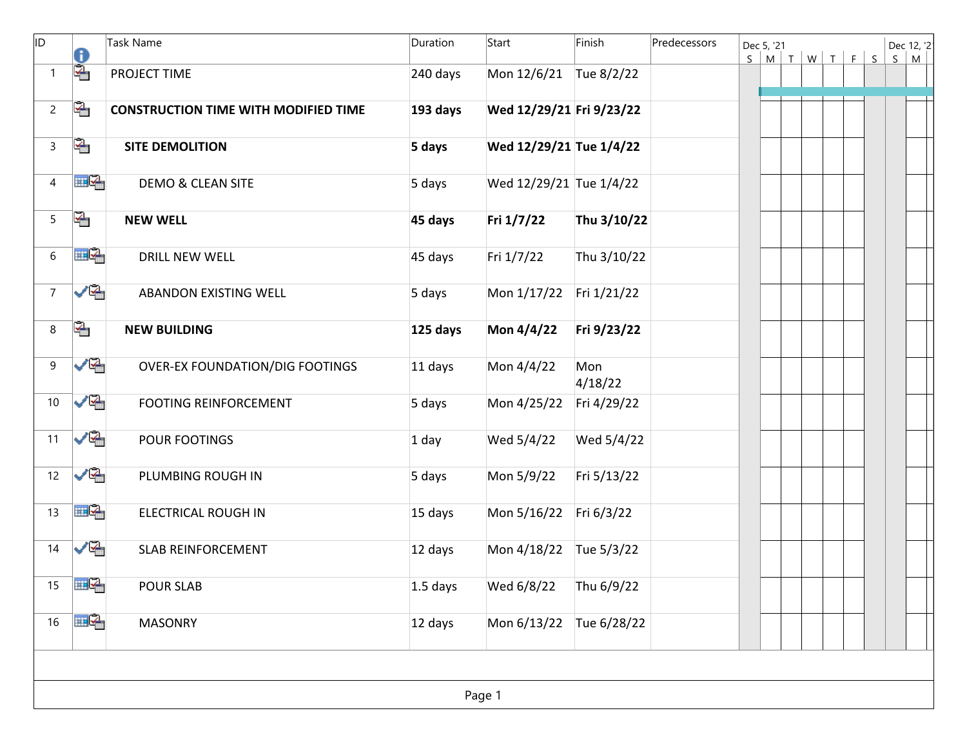| ID.            | 0              | Task Name                                   | Duration   | Start                    | Finish         | Predecessors | Dec 5, '21 |  | $S$ $M$ $T$ $W$ $T$ $F$ $S$ | $\mathsf{S}$ | Dec 12, '2'<br>M |
|----------------|----------------|---------------------------------------------|------------|--------------------------|----------------|--------------|------------|--|-----------------------------|--------------|------------------|
| 1              | 嗂              | PROJECT TIME                                | 240 days   | Mon 12/6/21              | Tue 8/2/22     |              |            |  |                             |              |                  |
| $\overline{2}$ | 哈              | <b>CONSTRUCTION TIME WITH MODIFIED TIME</b> | 193 days   | Wed 12/29/21 Fri 9/23/22 |                |              |            |  |                             |              |                  |
| 3              | 哈              | <b>SITE DEMOLITION</b>                      | 5 days     | Wed 12/29/21 Tue 1/4/22  |                |              |            |  |                             |              |                  |
| $\overline{4}$ | mØ,            | <b>DEMO &amp; CLEAN SITE</b>                | 5 days     | Wed 12/29/21 Tue 1/4/22  |                |              |            |  |                             |              |                  |
| 5              | 哈              | <b>NEW WELL</b>                             | 45 days    | Fri 1/7/22               | Thu 3/10/22    |              |            |  |                             |              |                  |
| $6\,$          | HQ.            | <b>DRILL NEW WELL</b>                       | 45 days    | Fri 1/7/22               | Thu 3/10/22    |              |            |  |                             |              |                  |
| $\overline{7}$ | ✓₠             | ABANDON EXISTING WELL                       | 5 days     | Mon 1/17/22              | Fri 1/21/22    |              |            |  |                             |              |                  |
| 8              | ↞              | <b>NEW BUILDING</b>                         | 125 days   | Mon 4/4/22               | Fri 9/23/22    |              |            |  |                             |              |                  |
| 9              | ✓⋐             | <b>OVER-EX FOUNDATION/DIG FOOTINGS</b>      | 11 days    | Mon 4/4/22               | Mon<br>4/18/22 |              |            |  |                             |              |                  |
| 10             | ✓⋐             | <b>FOOTING REINFORCEMENT</b>                | 5 days     | Mon 4/25/22              | Fri 4/29/22    |              |            |  |                             |              |                  |
| 11             | ✓⋐             | POUR FOOTINGS                               | $1$ day    | Wed 5/4/22               | Wed 5/4/22     |              |            |  |                             |              |                  |
| 12             | ✓₠             | PLUMBING ROUGH IN                           | 5 days     | Mon 5/9/22               | Fri 5/13/22    |              |            |  |                             |              |                  |
| 13             | $\mathbb{H}^2$ | <b>ELECTRICAL ROUGH IN</b>                  | 15 days    | Mon 5/16/22              | Fri 6/3/22     |              |            |  |                             |              |                  |
| 14             | ✓⋐             | <b>SLAB REINFORCEMENT</b>                   | 12 days    | Mon 4/18/22              | Tue 5/3/22     |              |            |  |                             |              |                  |
| 15             | ⊞⊵             | <b>POUR SLAB</b>                            | $1.5$ days | Wed 6/8/22               | Thu 6/9/22     |              |            |  |                             |              |                  |
| 16             | ⊞L2,           | <b>MASONRY</b>                              | 12 days    | Mon 6/13/22 Tue 6/28/22  |                |              |            |  |                             |              |                  |
|                |                |                                             |            |                          |                |              |            |  |                             |              |                  |
|                |                |                                             |            | Page 1                   |                |              |            |  |                             |              |                  |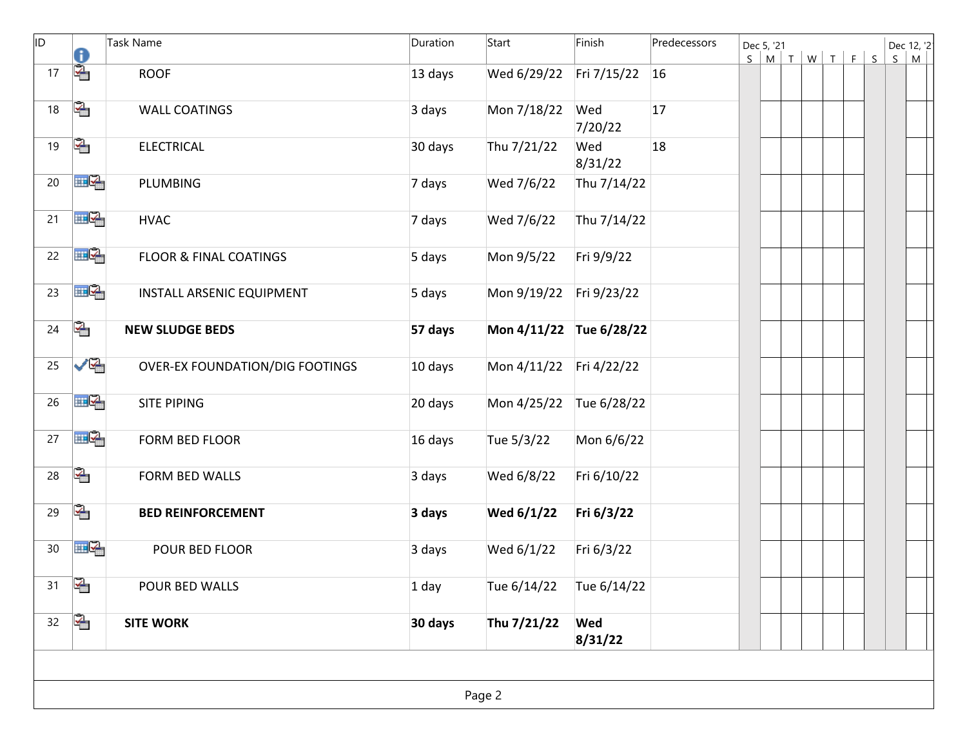| ID. | 0   | Task Name                              | Duration | Start                   | Finish                | Predecessors | Dec 5, '21 |  | $S$ $M$ $T$ $W$ $T$ $F$ $S$ | S | Dec 12, '2<br>M |  |
|-----|-----|----------------------------------------|----------|-------------------------|-----------------------|--------------|------------|--|-----------------------------|---|-----------------|--|
| 17  | 噊   | <b>ROOF</b>                            | 13 days  | Wed 6/29/22             | Fri 7/15/22           | <b>16</b>    |            |  |                             |   |                 |  |
| 18  | ↞   | <b>WALL COATINGS</b>                   | 3 days   | Mon 7/18/22             | Wed<br>7/20/22        | 17           |            |  |                             |   |                 |  |
| 19  | ↞   | <b>ELECTRICAL</b>                      | 30 days  | Thu 7/21/22             | Wed<br>8/31/22        | 18           |            |  |                             |   |                 |  |
| 20  | ⊞⊵  | <b>PLUMBING</b>                        | 7 days   | Wed 7/6/22              | Thu 7/14/22           |              |            |  |                             |   |                 |  |
| 21  | ⊞⊵  | <b>HVAC</b>                            | 7 days   | Wed 7/6/22              | Thu 7/14/22           |              |            |  |                             |   |                 |  |
| 22  | 囲る  | <b>FLOOR &amp; FINAL COATINGS</b>      | 5 days   | Mon 9/5/22              | Fri 9/9/22            |              |            |  |                             |   |                 |  |
| 23  | HP. | INSTALL ARSENIC EQUIPMENT              | 5 days   | Mon 9/19/22             | Fri 9/23/22           |              |            |  |                             |   |                 |  |
| 24  | 우   | <b>NEW SLUDGE BEDS</b>                 | 57 days  | Mon 4/11/22 Tue 6/28/22 |                       |              |            |  |                             |   |                 |  |
| 25  | ✓⋐  | <b>OVER-EX FOUNDATION/DIG FOOTINGS</b> | 10 days  | Mon 4/11/22             | Fri 4/22/22           |              |            |  |                             |   |                 |  |
| 26  | ⊞⊵  | SITE PIPING                            | 20 days  | Mon 4/25/22             | Tue 6/28/22           |              |            |  |                             |   |                 |  |
| 27  | ⊞⊵  | FORM BED FLOOR                         | 16 days  | Tue 5/3/22              | Mon 6/6/22            |              |            |  |                             |   |                 |  |
| 28  | 哈   | FORM BED WALLS                         | 3 days   | Wed 6/8/22              | Fri 6/10/22           |              |            |  |                             |   |                 |  |
| 29  | ఆ   | <b>BED REINFORCEMENT</b>               | 3 days   | Wed 6/1/22              | Fri 6/3/22            |              |            |  |                             |   |                 |  |
| 30  | ⊞⊵  | POUR BED FLOOR                         | 3 days   | Wed 6/1/22              | Fri 6/3/22            |              |            |  |                             |   |                 |  |
| 31  | ↞   | POUR BED WALLS                         | $1$ day  | Tue 6/14/22             | Tue 6/14/22           |              |            |  |                             |   |                 |  |
| 32  | 수   | <b>SITE WORK</b>                       | 30 days  | Thu 7/21/22             | <b>Wed</b><br>8/31/22 |              |            |  |                             |   |                 |  |
|     |     |                                        |          |                         |                       |              |            |  |                             |   |                 |  |
|     |     |                                        |          | Page 2                  |                       |              |            |  |                             |   |                 |  |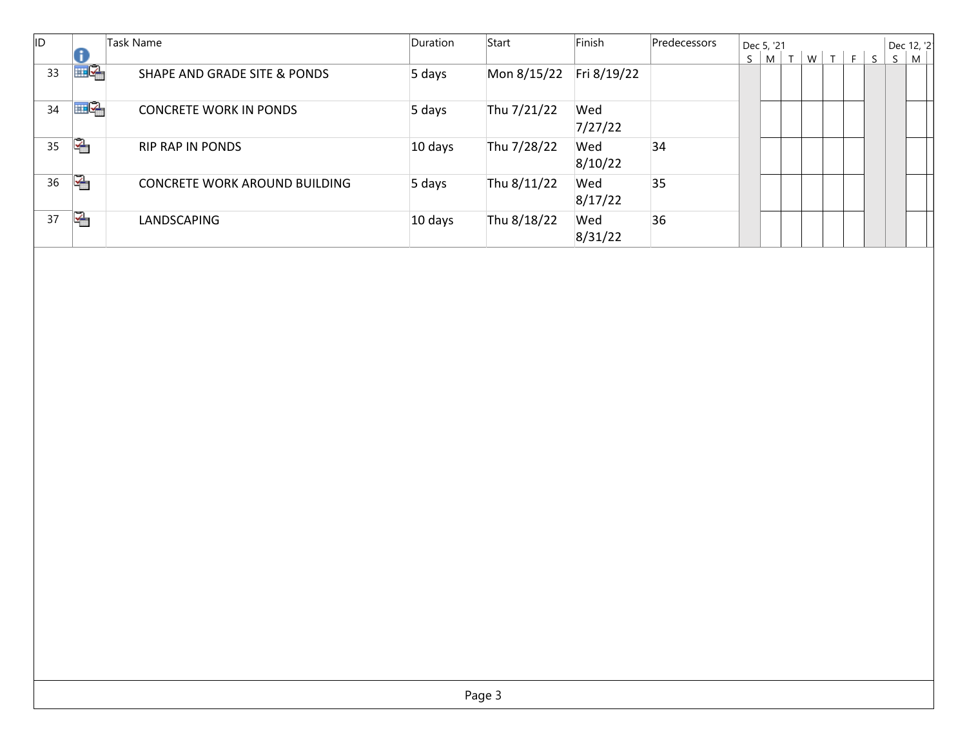| İID |    | <b>Task Name</b>                        | <b>Duration</b> | Start       | Finish         | Predecessors |   | Dec 5, '21         |  |     |              |    | Dec 12, '2 |
|-----|----|-----------------------------------------|-----------------|-------------|----------------|--------------|---|--------------------|--|-----|--------------|----|------------|
|     |    |                                         |                 |             |                |              | S | $ M $ T $_{\rm i}$ |  | WTF | $\mathsf{S}$ | S. | M          |
| 33  | ⊞⊵ | <b>SHAPE AND GRADE SITE &amp; PONDS</b> | 5 days          | Mon 8/15/22 | Fri 8/19/22    |              |   |                    |  |     |              |    |            |
| 34  | ⊞⊵ | <b>CONCRETE WORK IN PONDS</b>           | 5 days          | Thu 7/21/22 | Wed<br>7/27/22 |              |   |                    |  |     |              |    |            |
| 35  | 족  | <b>RIP RAP IN PONDS</b>                 | 10 days         | Thu 7/28/22 | Wed<br>8/10/22 | 34           |   |                    |  |     |              |    |            |
| 36  | 唵  | <b>CONCRETE WORK AROUND BUILDING</b>    | 5 days          | Thu 8/11/22 | Wed<br>8/17/22 | 35           |   |                    |  |     |              |    |            |
| 37  | ↞  | <b>LANDSCAPING</b>                      | 10 days         | Thu 8/18/22 | Wed<br>8/31/22 | 36           |   |                    |  |     |              |    |            |
|     |    |                                         |                 |             |                |              |   |                    |  |     |              |    |            |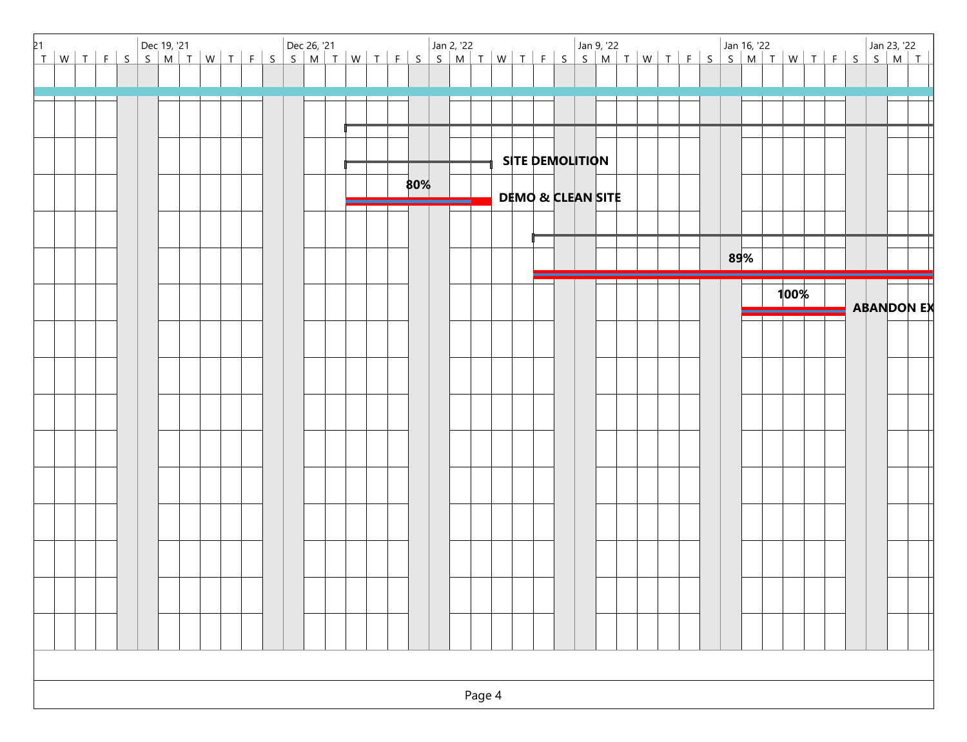| 21 |        |                              |
|----|--------|------------------------------|
|    |        |                              |
|    |        |                              |
|    |        |                              |
|    |        | <b>SITE DEMOLITION</b>       |
|    | 80%    |                              |
|    |        | <b>DEMO &amp; CLEAN SITE</b> |
|    |        |                              |
|    |        | 89%                          |
|    |        | 100%<br><b>ABANDON EX</b>    |
|    |        |                              |
|    |        |                              |
|    |        |                              |
|    |        |                              |
|    |        |                              |
|    |        |                              |
|    |        |                              |
|    |        |                              |
|    |        |                              |
|    |        |                              |
|    |        |                              |
|    |        |                              |
|    |        |                              |
|    | Page 4 |                              |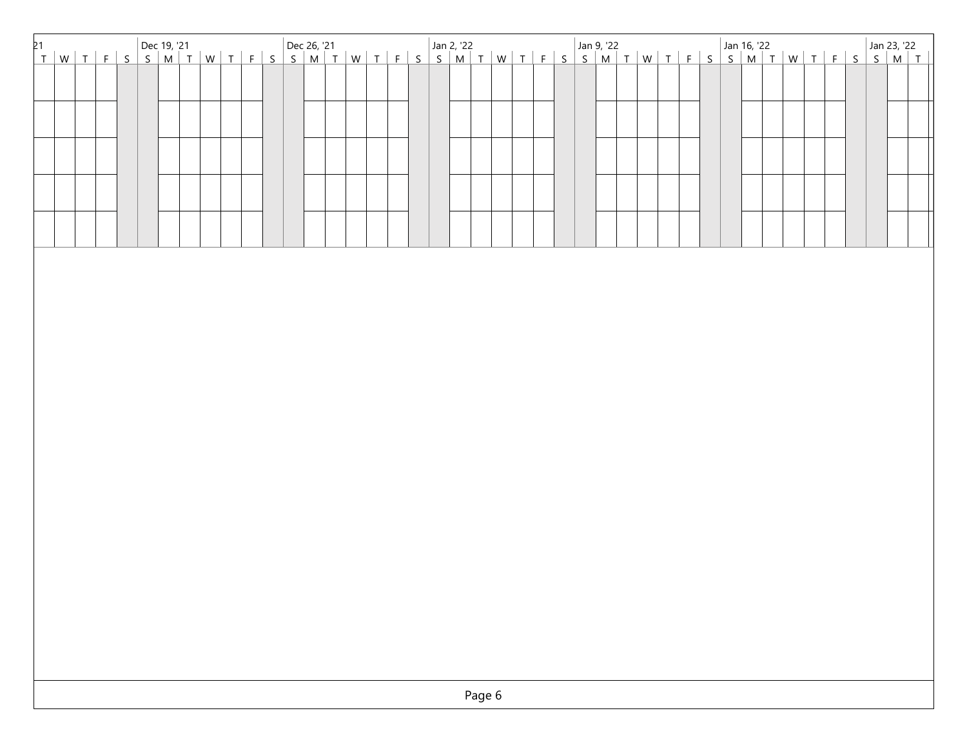| 21<br>T   W   T   F   S   S   M   T   W   T   F   S   S   M   T   W   T   F   S   S   M   T   W   T   F   S   S   M   T   W   T   F   S   S   M   T   W   T   F   S   S   M   T   W   T   F   S   S   M   T   W   T   F   S   S |  |  |  |  |  |  |  |  |  |  |  |  |  |  |  |  |  |  |  |  |  |  |
|---------------------------------------------------------------------------------------------------------------------------------------------------------------------------------------------------------------------------------|--|--|--|--|--|--|--|--|--|--|--|--|--|--|--|--|--|--|--|--|--|--|
|                                                                                                                                                                                                                                 |  |  |  |  |  |  |  |  |  |  |  |  |  |  |  |  |  |  |  |  |  |  |
|                                                                                                                                                                                                                                 |  |  |  |  |  |  |  |  |  |  |  |  |  |  |  |  |  |  |  |  |  |  |
|                                                                                                                                                                                                                                 |  |  |  |  |  |  |  |  |  |  |  |  |  |  |  |  |  |  |  |  |  |  |
|                                                                                                                                                                                                                                 |  |  |  |  |  |  |  |  |  |  |  |  |  |  |  |  |  |  |  |  |  |  |
|                                                                                                                                                                                                                                 |  |  |  |  |  |  |  |  |  |  |  |  |  |  |  |  |  |  |  |  |  |  |
|                                                                                                                                                                                                                                 |  |  |  |  |  |  |  |  |  |  |  |  |  |  |  |  |  |  |  |  |  |  |
|                                                                                                                                                                                                                                 |  |  |  |  |  |  |  |  |  |  |  |  |  |  |  |  |  |  |  |  |  |  |
|                                                                                                                                                                                                                                 |  |  |  |  |  |  |  |  |  |  |  |  |  |  |  |  |  |  |  |  |  |  |
|                                                                                                                                                                                                                                 |  |  |  |  |  |  |  |  |  |  |  |  |  |  |  |  |  |  |  |  |  |  |
|                                                                                                                                                                                                                                 |  |  |  |  |  |  |  |  |  |  |  |  |  |  |  |  |  |  |  |  |  |  |
|                                                                                                                                                                                                                                 |  |  |  |  |  |  |  |  |  |  |  |  |  |  |  |  |  |  |  |  |  |  |
|                                                                                                                                                                                                                                 |  |  |  |  |  |  |  |  |  |  |  |  |  |  |  |  |  |  |  |  |  |  |
|                                                                                                                                                                                                                                 |  |  |  |  |  |  |  |  |  |  |  |  |  |  |  |  |  |  |  |  |  |  |
|                                                                                                                                                                                                                                 |  |  |  |  |  |  |  |  |  |  |  |  |  |  |  |  |  |  |  |  |  |  |
|                                                                                                                                                                                                                                 |  |  |  |  |  |  |  |  |  |  |  |  |  |  |  |  |  |  |  |  |  |  |
|                                                                                                                                                                                                                                 |  |  |  |  |  |  |  |  |  |  |  |  |  |  |  |  |  |  |  |  |  |  |
|                                                                                                                                                                                                                                 |  |  |  |  |  |  |  |  |  |  |  |  |  |  |  |  |  |  |  |  |  |  |
|                                                                                                                                                                                                                                 |  |  |  |  |  |  |  |  |  |  |  |  |  |  |  |  |  |  |  |  |  |  |
|                                                                                                                                                                                                                                 |  |  |  |  |  |  |  |  |  |  |  |  |  |  |  |  |  |  |  |  |  |  |
|                                                                                                                                                                                                                                 |  |  |  |  |  |  |  |  |  |  |  |  |  |  |  |  |  |  |  |  |  |  |
|                                                                                                                                                                                                                                 |  |  |  |  |  |  |  |  |  |  |  |  |  |  |  |  |  |  |  |  |  |  |
|                                                                                                                                                                                                                                 |  |  |  |  |  |  |  |  |  |  |  |  |  |  |  |  |  |  |  |  |  |  |
|                                                                                                                                                                                                                                 |  |  |  |  |  |  |  |  |  |  |  |  |  |  |  |  |  |  |  |  |  |  |
|                                                                                                                                                                                                                                 |  |  |  |  |  |  |  |  |  |  |  |  |  |  |  |  |  |  |  |  |  |  |
|                                                                                                                                                                                                                                 |  |  |  |  |  |  |  |  |  |  |  |  |  |  |  |  |  |  |  |  |  |  |
|                                                                                                                                                                                                                                 |  |  |  |  |  |  |  |  |  |  |  |  |  |  |  |  |  |  |  |  |  |  |
|                                                                                                                                                                                                                                 |  |  |  |  |  |  |  |  |  |  |  |  |  |  |  |  |  |  |  |  |  |  |
|                                                                                                                                                                                                                                 |  |  |  |  |  |  |  |  |  |  |  |  |  |  |  |  |  |  |  |  |  |  |
|                                                                                                                                                                                                                                 |  |  |  |  |  |  |  |  |  |  |  |  |  |  |  |  |  |  |  |  |  |  |
|                                                                                                                                                                                                                                 |  |  |  |  |  |  |  |  |  |  |  |  |  |  |  |  |  |  |  |  |  |  |
|                                                                                                                                                                                                                                 |  |  |  |  |  |  |  |  |  |  |  |  |  |  |  |  |  |  |  |  |  |  |
|                                                                                                                                                                                                                                 |  |  |  |  |  |  |  |  |  |  |  |  |  |  |  |  |  |  |  |  |  |  |
|                                                                                                                                                                                                                                 |  |  |  |  |  |  |  |  |  |  |  |  |  |  |  |  |  |  |  |  |  |  |
| Page 6                                                                                                                                                                                                                          |  |  |  |  |  |  |  |  |  |  |  |  |  |  |  |  |  |  |  |  |  |  |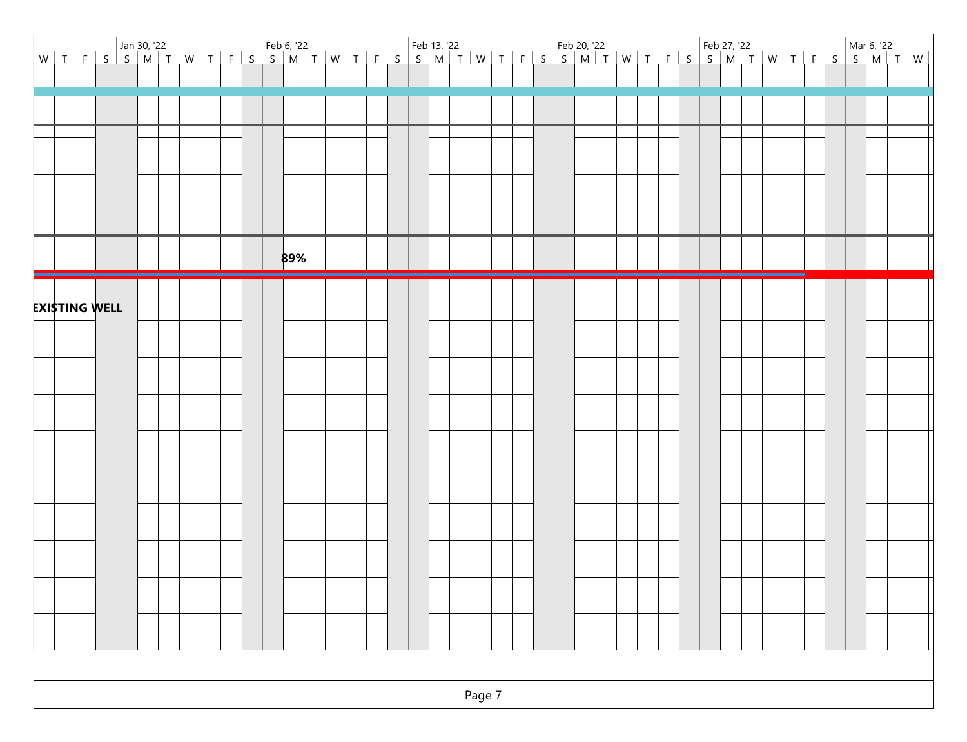|  |                      |  |  |  |  |     |  |  |  |  |  |  |  |  |  | Jan 30, '22<br>W T   F   S   S   M   T   W   T   F   S   S   M   T   W   T   F   S   S   M   T   W   T   F   S   S   M   T   W   T   F   S   S   M   T   W   T   W   T   W   T   W   T   W   T   W   T   W   T   W   T   W   T |  |  |  |  |
|--|----------------------|--|--|--|--|-----|--|--|--|--|--|--|--|--|--|--------------------------------------------------------------------------------------------------------------------------------------------------------------------------------------------------------------------------------|--|--|--|--|
|  |                      |  |  |  |  |     |  |  |  |  |  |  |  |  |  |                                                                                                                                                                                                                                |  |  |  |  |
|  |                      |  |  |  |  |     |  |  |  |  |  |  |  |  |  |                                                                                                                                                                                                                                |  |  |  |  |
|  |                      |  |  |  |  |     |  |  |  |  |  |  |  |  |  |                                                                                                                                                                                                                                |  |  |  |  |
|  |                      |  |  |  |  |     |  |  |  |  |  |  |  |  |  |                                                                                                                                                                                                                                |  |  |  |  |
|  |                      |  |  |  |  |     |  |  |  |  |  |  |  |  |  |                                                                                                                                                                                                                                |  |  |  |  |
|  |                      |  |  |  |  |     |  |  |  |  |  |  |  |  |  |                                                                                                                                                                                                                                |  |  |  |  |
|  |                      |  |  |  |  | 89% |  |  |  |  |  |  |  |  |  |                                                                                                                                                                                                                                |  |  |  |  |
|  | <b>EXISTING WELL</b> |  |  |  |  |     |  |  |  |  |  |  |  |  |  |                                                                                                                                                                                                                                |  |  |  |  |
|  |                      |  |  |  |  |     |  |  |  |  |  |  |  |  |  |                                                                                                                                                                                                                                |  |  |  |  |
|  |                      |  |  |  |  |     |  |  |  |  |  |  |  |  |  |                                                                                                                                                                                                                                |  |  |  |  |
|  |                      |  |  |  |  |     |  |  |  |  |  |  |  |  |  |                                                                                                                                                                                                                                |  |  |  |  |
|  |                      |  |  |  |  |     |  |  |  |  |  |  |  |  |  |                                                                                                                                                                                                                                |  |  |  |  |
|  |                      |  |  |  |  |     |  |  |  |  |  |  |  |  |  |                                                                                                                                                                                                                                |  |  |  |  |
|  |                      |  |  |  |  |     |  |  |  |  |  |  |  |  |  |                                                                                                                                                                                                                                |  |  |  |  |
|  |                      |  |  |  |  |     |  |  |  |  |  |  |  |  |  |                                                                                                                                                                                                                                |  |  |  |  |
|  |                      |  |  |  |  |     |  |  |  |  |  |  |  |  |  |                                                                                                                                                                                                                                |  |  |  |  |
|  |                      |  |  |  |  |     |  |  |  |  |  |  |  |  |  |                                                                                                                                                                                                                                |  |  |  |  |
|  |                      |  |  |  |  |     |  |  |  |  |  |  |  |  |  |                                                                                                                                                                                                                                |  |  |  |  |
|  |                      |  |  |  |  |     |  |  |  |  |  |  |  |  |  |                                                                                                                                                                                                                                |  |  |  |  |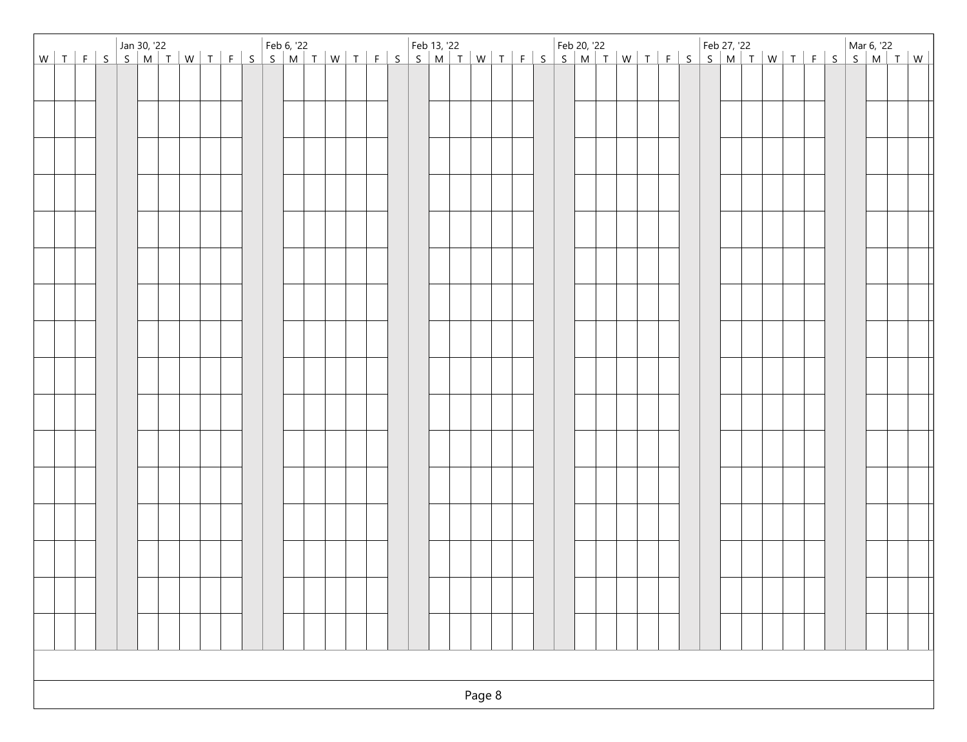|  |  |  |  |  |  |  |  |  |  |  |        |  |  |  |  |  |  |  |  | Van 30, '22<br>Van 30, '22 Seb 6, '22 Feb 6, '22 Feb 13, '22 Feb 20, '22 Feb 20, '22 Feb 27, '22 Mar 6, '22 Mar 6, '22 Seb 2<br>Van 30, '22 Mar 6, '22 Feb 13, '22 Feb 20, '22 Feb 20, '22 Feb 27, '22 Feb 27, '22 Mar 6, '22 Mar |  |
|--|--|--|--|--|--|--|--|--|--|--|--------|--|--|--|--|--|--|--|--|-----------------------------------------------------------------------------------------------------------------------------------------------------------------------------------------------------------------------------------|--|
|  |  |  |  |  |  |  |  |  |  |  |        |  |  |  |  |  |  |  |  |                                                                                                                                                                                                                                   |  |
|  |  |  |  |  |  |  |  |  |  |  |        |  |  |  |  |  |  |  |  |                                                                                                                                                                                                                                   |  |
|  |  |  |  |  |  |  |  |  |  |  |        |  |  |  |  |  |  |  |  |                                                                                                                                                                                                                                   |  |
|  |  |  |  |  |  |  |  |  |  |  |        |  |  |  |  |  |  |  |  |                                                                                                                                                                                                                                   |  |
|  |  |  |  |  |  |  |  |  |  |  |        |  |  |  |  |  |  |  |  |                                                                                                                                                                                                                                   |  |
|  |  |  |  |  |  |  |  |  |  |  |        |  |  |  |  |  |  |  |  |                                                                                                                                                                                                                                   |  |
|  |  |  |  |  |  |  |  |  |  |  |        |  |  |  |  |  |  |  |  |                                                                                                                                                                                                                                   |  |
|  |  |  |  |  |  |  |  |  |  |  |        |  |  |  |  |  |  |  |  |                                                                                                                                                                                                                                   |  |
|  |  |  |  |  |  |  |  |  |  |  |        |  |  |  |  |  |  |  |  |                                                                                                                                                                                                                                   |  |
|  |  |  |  |  |  |  |  |  |  |  |        |  |  |  |  |  |  |  |  |                                                                                                                                                                                                                                   |  |
|  |  |  |  |  |  |  |  |  |  |  |        |  |  |  |  |  |  |  |  |                                                                                                                                                                                                                                   |  |
|  |  |  |  |  |  |  |  |  |  |  |        |  |  |  |  |  |  |  |  |                                                                                                                                                                                                                                   |  |
|  |  |  |  |  |  |  |  |  |  |  |        |  |  |  |  |  |  |  |  |                                                                                                                                                                                                                                   |  |
|  |  |  |  |  |  |  |  |  |  |  |        |  |  |  |  |  |  |  |  |                                                                                                                                                                                                                                   |  |
|  |  |  |  |  |  |  |  |  |  |  |        |  |  |  |  |  |  |  |  |                                                                                                                                                                                                                                   |  |
|  |  |  |  |  |  |  |  |  |  |  |        |  |  |  |  |  |  |  |  |                                                                                                                                                                                                                                   |  |
|  |  |  |  |  |  |  |  |  |  |  |        |  |  |  |  |  |  |  |  |                                                                                                                                                                                                                                   |  |
|  |  |  |  |  |  |  |  |  |  |  |        |  |  |  |  |  |  |  |  |                                                                                                                                                                                                                                   |  |
|  |  |  |  |  |  |  |  |  |  |  |        |  |  |  |  |  |  |  |  |                                                                                                                                                                                                                                   |  |
|  |  |  |  |  |  |  |  |  |  |  |        |  |  |  |  |  |  |  |  |                                                                                                                                                                                                                                   |  |
|  |  |  |  |  |  |  |  |  |  |  |        |  |  |  |  |  |  |  |  |                                                                                                                                                                                                                                   |  |
|  |  |  |  |  |  |  |  |  |  |  |        |  |  |  |  |  |  |  |  |                                                                                                                                                                                                                                   |  |
|  |  |  |  |  |  |  |  |  |  |  |        |  |  |  |  |  |  |  |  |                                                                                                                                                                                                                                   |  |
|  |  |  |  |  |  |  |  |  |  |  |        |  |  |  |  |  |  |  |  |                                                                                                                                                                                                                                   |  |
|  |  |  |  |  |  |  |  |  |  |  |        |  |  |  |  |  |  |  |  |                                                                                                                                                                                                                                   |  |
|  |  |  |  |  |  |  |  |  |  |  |        |  |  |  |  |  |  |  |  |                                                                                                                                                                                                                                   |  |
|  |  |  |  |  |  |  |  |  |  |  |        |  |  |  |  |  |  |  |  |                                                                                                                                                                                                                                   |  |
|  |  |  |  |  |  |  |  |  |  |  |        |  |  |  |  |  |  |  |  |                                                                                                                                                                                                                                   |  |
|  |  |  |  |  |  |  |  |  |  |  |        |  |  |  |  |  |  |  |  |                                                                                                                                                                                                                                   |  |
|  |  |  |  |  |  |  |  |  |  |  |        |  |  |  |  |  |  |  |  |                                                                                                                                                                                                                                   |  |
|  |  |  |  |  |  |  |  |  |  |  |        |  |  |  |  |  |  |  |  |                                                                                                                                                                                                                                   |  |
|  |  |  |  |  |  |  |  |  |  |  |        |  |  |  |  |  |  |  |  |                                                                                                                                                                                                                                   |  |
|  |  |  |  |  |  |  |  |  |  |  |        |  |  |  |  |  |  |  |  |                                                                                                                                                                                                                                   |  |
|  |  |  |  |  |  |  |  |  |  |  |        |  |  |  |  |  |  |  |  |                                                                                                                                                                                                                                   |  |
|  |  |  |  |  |  |  |  |  |  |  | Page 8 |  |  |  |  |  |  |  |  |                                                                                                                                                                                                                                   |  |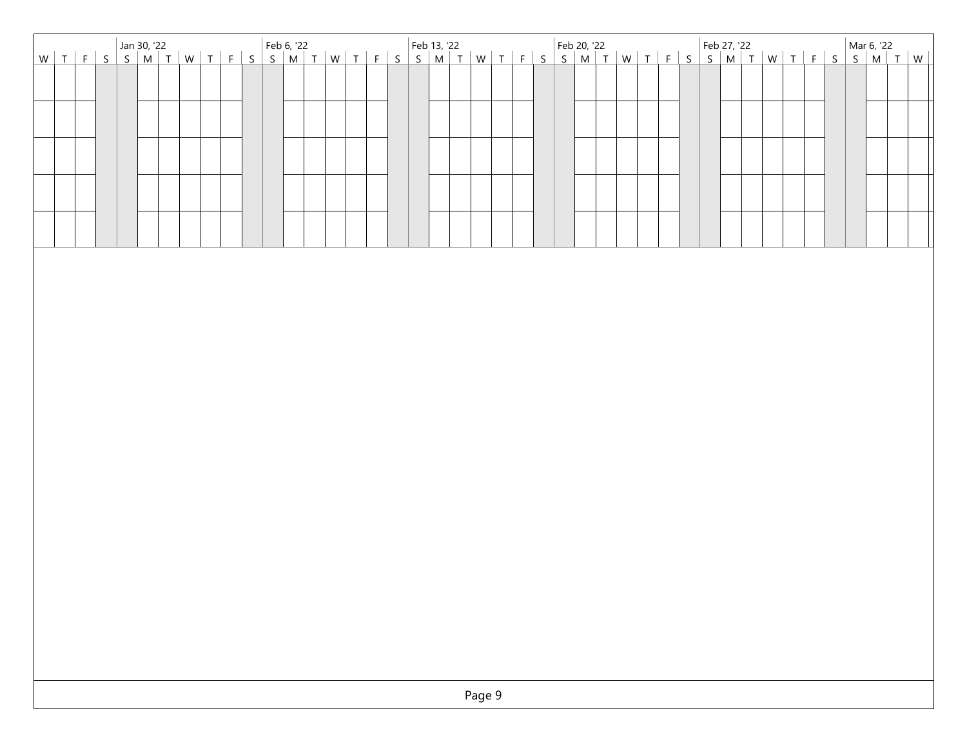|  |  |  |  |  |  |  |  |  |  | Van 30, '22<br>Van 30, '22 September 13, '22 Feb 20, '22 Feb 20, '22 Feb 27, '22 Feb 27, '22 Mar 6, '22 Mar 6, '22<br>Van 30, '22 Mar 6, '22 Feb 13, '22 Feb 20, '22 Feb 20, '22 Feb 27, '22 Mar 6, '22 Mar 6, '22 Mar 6, '22 July |  |  |  |  |  |  |  |  |  |  |  |
|--|--|--|--|--|--|--|--|--|--|------------------------------------------------------------------------------------------------------------------------------------------------------------------------------------------------------------------------------------|--|--|--|--|--|--|--|--|--|--|--|
|  |  |  |  |  |  |  |  |  |  |                                                                                                                                                                                                                                    |  |  |  |  |  |  |  |  |  |  |  |
|  |  |  |  |  |  |  |  |  |  |                                                                                                                                                                                                                                    |  |  |  |  |  |  |  |  |  |  |  |
|  |  |  |  |  |  |  |  |  |  |                                                                                                                                                                                                                                    |  |  |  |  |  |  |  |  |  |  |  |
|  |  |  |  |  |  |  |  |  |  |                                                                                                                                                                                                                                    |  |  |  |  |  |  |  |  |  |  |  |
|  |  |  |  |  |  |  |  |  |  |                                                                                                                                                                                                                                    |  |  |  |  |  |  |  |  |  |  |  |
|  |  |  |  |  |  |  |  |  |  |                                                                                                                                                                                                                                    |  |  |  |  |  |  |  |  |  |  |  |
|  |  |  |  |  |  |  |  |  |  |                                                                                                                                                                                                                                    |  |  |  |  |  |  |  |  |  |  |  |
|  |  |  |  |  |  |  |  |  |  |                                                                                                                                                                                                                                    |  |  |  |  |  |  |  |  |  |  |  |
|  |  |  |  |  |  |  |  |  |  |                                                                                                                                                                                                                                    |  |  |  |  |  |  |  |  |  |  |  |
|  |  |  |  |  |  |  |  |  |  |                                                                                                                                                                                                                                    |  |  |  |  |  |  |  |  |  |  |  |
|  |  |  |  |  |  |  |  |  |  |                                                                                                                                                                                                                                    |  |  |  |  |  |  |  |  |  |  |  |
|  |  |  |  |  |  |  |  |  |  |                                                                                                                                                                                                                                    |  |  |  |  |  |  |  |  |  |  |  |
|  |  |  |  |  |  |  |  |  |  |                                                                                                                                                                                                                                    |  |  |  |  |  |  |  |  |  |  |  |
|  |  |  |  |  |  |  |  |  |  |                                                                                                                                                                                                                                    |  |  |  |  |  |  |  |  |  |  |  |
|  |  |  |  |  |  |  |  |  |  |                                                                                                                                                                                                                                    |  |  |  |  |  |  |  |  |  |  |  |
|  |  |  |  |  |  |  |  |  |  |                                                                                                                                                                                                                                    |  |  |  |  |  |  |  |  |  |  |  |
|  |  |  |  |  |  |  |  |  |  |                                                                                                                                                                                                                                    |  |  |  |  |  |  |  |  |  |  |  |
|  |  |  |  |  |  |  |  |  |  |                                                                                                                                                                                                                                    |  |  |  |  |  |  |  |  |  |  |  |
|  |  |  |  |  |  |  |  |  |  |                                                                                                                                                                                                                                    |  |  |  |  |  |  |  |  |  |  |  |
|  |  |  |  |  |  |  |  |  |  |                                                                                                                                                                                                                                    |  |  |  |  |  |  |  |  |  |  |  |
|  |  |  |  |  |  |  |  |  |  |                                                                                                                                                                                                                                    |  |  |  |  |  |  |  |  |  |  |  |
|  |  |  |  |  |  |  |  |  |  |                                                                                                                                                                                                                                    |  |  |  |  |  |  |  |  |  |  |  |
|  |  |  |  |  |  |  |  |  |  |                                                                                                                                                                                                                                    |  |  |  |  |  |  |  |  |  |  |  |
|  |  |  |  |  |  |  |  |  |  |                                                                                                                                                                                                                                    |  |  |  |  |  |  |  |  |  |  |  |
|  |  |  |  |  |  |  |  |  |  |                                                                                                                                                                                                                                    |  |  |  |  |  |  |  |  |  |  |  |
|  |  |  |  |  |  |  |  |  |  |                                                                                                                                                                                                                                    |  |  |  |  |  |  |  |  |  |  |  |
|  |  |  |  |  |  |  |  |  |  |                                                                                                                                                                                                                                    |  |  |  |  |  |  |  |  |  |  |  |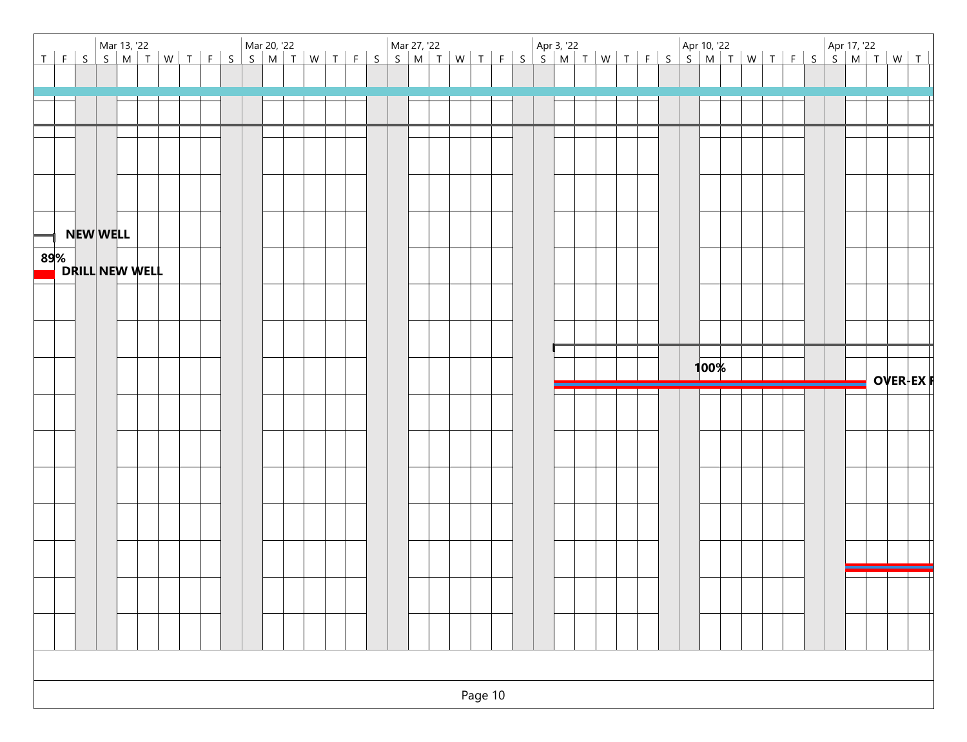| Mar 13, '22<br>T   F   S   S   M   T   W   T   F   S   S   M   T   W   T   F   S   S   M   T   W   T   F   S   S   M   T   W   T   W   T   W   T   W   T   W   T   W   T   W   T   W   T   W   T   W   T   W   T   W   T   W   T |  |  |  |  |  |  |  |  |  |      |  |  |  |                 |  |
|----------------------------------------------------------------------------------------------------------------------------------------------------------------------------------------------------------------------------------|--|--|--|--|--|--|--|--|--|------|--|--|--|-----------------|--|
|                                                                                                                                                                                                                                  |  |  |  |  |  |  |  |  |  |      |  |  |  |                 |  |
|                                                                                                                                                                                                                                  |  |  |  |  |  |  |  |  |  |      |  |  |  |                 |  |
|                                                                                                                                                                                                                                  |  |  |  |  |  |  |  |  |  |      |  |  |  |                 |  |
|                                                                                                                                                                                                                                  |  |  |  |  |  |  |  |  |  |      |  |  |  |                 |  |
|                                                                                                                                                                                                                                  |  |  |  |  |  |  |  |  |  |      |  |  |  |                 |  |
|                                                                                                                                                                                                                                  |  |  |  |  |  |  |  |  |  |      |  |  |  |                 |  |
|                                                                                                                                                                                                                                  |  |  |  |  |  |  |  |  |  |      |  |  |  |                 |  |
|                                                                                                                                                                                                                                  |  |  |  |  |  |  |  |  |  |      |  |  |  |                 |  |
| NEW WELL                                                                                                                                                                                                                         |  |  |  |  |  |  |  |  |  |      |  |  |  |                 |  |
| 89%<br>DRILL NEW WELL                                                                                                                                                                                                            |  |  |  |  |  |  |  |  |  |      |  |  |  |                 |  |
|                                                                                                                                                                                                                                  |  |  |  |  |  |  |  |  |  |      |  |  |  |                 |  |
|                                                                                                                                                                                                                                  |  |  |  |  |  |  |  |  |  |      |  |  |  |                 |  |
|                                                                                                                                                                                                                                  |  |  |  |  |  |  |  |  |  |      |  |  |  |                 |  |
|                                                                                                                                                                                                                                  |  |  |  |  |  |  |  |  |  |      |  |  |  |                 |  |
|                                                                                                                                                                                                                                  |  |  |  |  |  |  |  |  |  |      |  |  |  |                 |  |
|                                                                                                                                                                                                                                  |  |  |  |  |  |  |  |  |  |      |  |  |  |                 |  |
|                                                                                                                                                                                                                                  |  |  |  |  |  |  |  |  |  | 100% |  |  |  | <b>OVER-EXI</b> |  |
|                                                                                                                                                                                                                                  |  |  |  |  |  |  |  |  |  |      |  |  |  |                 |  |
|                                                                                                                                                                                                                                  |  |  |  |  |  |  |  |  |  |      |  |  |  |                 |  |
|                                                                                                                                                                                                                                  |  |  |  |  |  |  |  |  |  |      |  |  |  |                 |  |
|                                                                                                                                                                                                                                  |  |  |  |  |  |  |  |  |  |      |  |  |  |                 |  |
|                                                                                                                                                                                                                                  |  |  |  |  |  |  |  |  |  |      |  |  |  |                 |  |
|                                                                                                                                                                                                                                  |  |  |  |  |  |  |  |  |  |      |  |  |  |                 |  |
|                                                                                                                                                                                                                                  |  |  |  |  |  |  |  |  |  |      |  |  |  |                 |  |
|                                                                                                                                                                                                                                  |  |  |  |  |  |  |  |  |  |      |  |  |  |                 |  |
|                                                                                                                                                                                                                                  |  |  |  |  |  |  |  |  |  |      |  |  |  |                 |  |
|                                                                                                                                                                                                                                  |  |  |  |  |  |  |  |  |  |      |  |  |  |                 |  |
|                                                                                                                                                                                                                                  |  |  |  |  |  |  |  |  |  |      |  |  |  |                 |  |
|                                                                                                                                                                                                                                  |  |  |  |  |  |  |  |  |  |      |  |  |  |                 |  |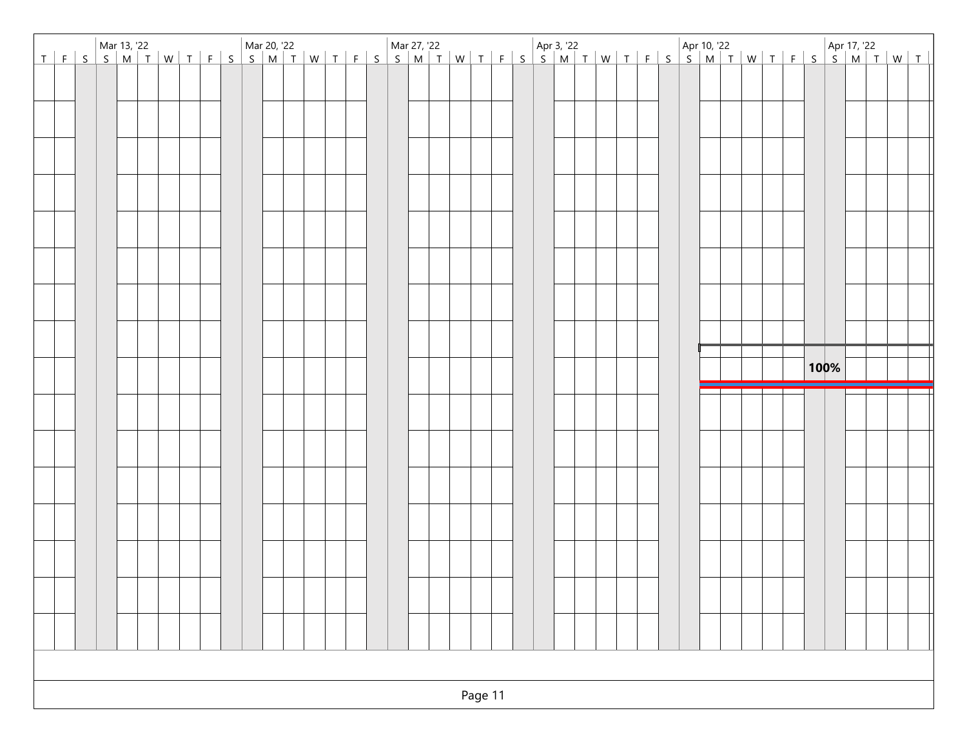| Mar 13, '22<br>T   F   S   S   M   T   W   T   F   S   S   M   T   W   T   F   S   S   M   T   W   T   F   S   S   M   T   W   T   W   T   W   T   W   T   W   T   W   T   W   T   W   T   W   T   W   T   W   T   W   T   W   T |  |  |  |  |  |  |  |  |  |  |  |  |  |  |  |  |  |  |  |  |  |  |  |      |  |  |  |
|----------------------------------------------------------------------------------------------------------------------------------------------------------------------------------------------------------------------------------|--|--|--|--|--|--|--|--|--|--|--|--|--|--|--|--|--|--|--|--|--|--|--|------|--|--|--|
|                                                                                                                                                                                                                                  |  |  |  |  |  |  |  |  |  |  |  |  |  |  |  |  |  |  |  |  |  |  |  |      |  |  |  |
|                                                                                                                                                                                                                                  |  |  |  |  |  |  |  |  |  |  |  |  |  |  |  |  |  |  |  |  |  |  |  |      |  |  |  |
|                                                                                                                                                                                                                                  |  |  |  |  |  |  |  |  |  |  |  |  |  |  |  |  |  |  |  |  |  |  |  |      |  |  |  |
|                                                                                                                                                                                                                                  |  |  |  |  |  |  |  |  |  |  |  |  |  |  |  |  |  |  |  |  |  |  |  |      |  |  |  |
|                                                                                                                                                                                                                                  |  |  |  |  |  |  |  |  |  |  |  |  |  |  |  |  |  |  |  |  |  |  |  |      |  |  |  |
|                                                                                                                                                                                                                                  |  |  |  |  |  |  |  |  |  |  |  |  |  |  |  |  |  |  |  |  |  |  |  |      |  |  |  |
|                                                                                                                                                                                                                                  |  |  |  |  |  |  |  |  |  |  |  |  |  |  |  |  |  |  |  |  |  |  |  |      |  |  |  |
|                                                                                                                                                                                                                                  |  |  |  |  |  |  |  |  |  |  |  |  |  |  |  |  |  |  |  |  |  |  |  |      |  |  |  |
|                                                                                                                                                                                                                                  |  |  |  |  |  |  |  |  |  |  |  |  |  |  |  |  |  |  |  |  |  |  |  |      |  |  |  |
|                                                                                                                                                                                                                                  |  |  |  |  |  |  |  |  |  |  |  |  |  |  |  |  |  |  |  |  |  |  |  | 100% |  |  |  |
|                                                                                                                                                                                                                                  |  |  |  |  |  |  |  |  |  |  |  |  |  |  |  |  |  |  |  |  |  |  |  |      |  |  |  |
|                                                                                                                                                                                                                                  |  |  |  |  |  |  |  |  |  |  |  |  |  |  |  |  |  |  |  |  |  |  |  |      |  |  |  |
|                                                                                                                                                                                                                                  |  |  |  |  |  |  |  |  |  |  |  |  |  |  |  |  |  |  |  |  |  |  |  |      |  |  |  |
|                                                                                                                                                                                                                                  |  |  |  |  |  |  |  |  |  |  |  |  |  |  |  |  |  |  |  |  |  |  |  |      |  |  |  |
|                                                                                                                                                                                                                                  |  |  |  |  |  |  |  |  |  |  |  |  |  |  |  |  |  |  |  |  |  |  |  |      |  |  |  |
|                                                                                                                                                                                                                                  |  |  |  |  |  |  |  |  |  |  |  |  |  |  |  |  |  |  |  |  |  |  |  |      |  |  |  |
|                                                                                                                                                                                                                                  |  |  |  |  |  |  |  |  |  |  |  |  |  |  |  |  |  |  |  |  |  |  |  |      |  |  |  |
|                                                                                                                                                                                                                                  |  |  |  |  |  |  |  |  |  |  |  |  |  |  |  |  |  |  |  |  |  |  |  |      |  |  |  |
|                                                                                                                                                                                                                                  |  |  |  |  |  |  |  |  |  |  |  |  |  |  |  |  |  |  |  |  |  |  |  |      |  |  |  |
|                                                                                                                                                                                                                                  |  |  |  |  |  |  |  |  |  |  |  |  |  |  |  |  |  |  |  |  |  |  |  |      |  |  |  |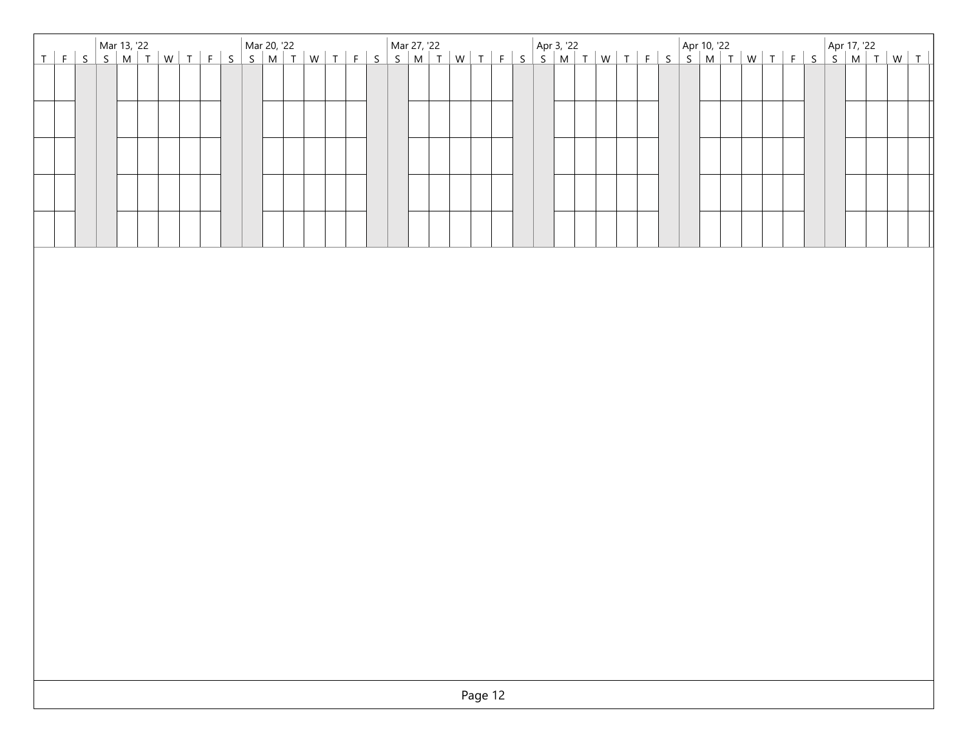| Mar 13, '22<br>T   F   S   S   M   T   W   T   F   S   S   M   T   W   T   F   S   S   M   T   W   T   F   S   S   M   T   W   T   W   T   W   T   W   T   W   T   W   T   W   T   W   T   W   T   W   T   W   T   W   T   W   T |  |  |  |  |  |  |  |  |  |  |  |         |  |  |  |  |  |  |  |  |  |  |  |
|----------------------------------------------------------------------------------------------------------------------------------------------------------------------------------------------------------------------------------|--|--|--|--|--|--|--|--|--|--|--|---------|--|--|--|--|--|--|--|--|--|--|--|
|                                                                                                                                                                                                                                  |  |  |  |  |  |  |  |  |  |  |  |         |  |  |  |  |  |  |  |  |  |  |  |
|                                                                                                                                                                                                                                  |  |  |  |  |  |  |  |  |  |  |  |         |  |  |  |  |  |  |  |  |  |  |  |
|                                                                                                                                                                                                                                  |  |  |  |  |  |  |  |  |  |  |  |         |  |  |  |  |  |  |  |  |  |  |  |
|                                                                                                                                                                                                                                  |  |  |  |  |  |  |  |  |  |  |  |         |  |  |  |  |  |  |  |  |  |  |  |
|                                                                                                                                                                                                                                  |  |  |  |  |  |  |  |  |  |  |  |         |  |  |  |  |  |  |  |  |  |  |  |
|                                                                                                                                                                                                                                  |  |  |  |  |  |  |  |  |  |  |  |         |  |  |  |  |  |  |  |  |  |  |  |
|                                                                                                                                                                                                                                  |  |  |  |  |  |  |  |  |  |  |  |         |  |  |  |  |  |  |  |  |  |  |  |
|                                                                                                                                                                                                                                  |  |  |  |  |  |  |  |  |  |  |  |         |  |  |  |  |  |  |  |  |  |  |  |
|                                                                                                                                                                                                                                  |  |  |  |  |  |  |  |  |  |  |  |         |  |  |  |  |  |  |  |  |  |  |  |
|                                                                                                                                                                                                                                  |  |  |  |  |  |  |  |  |  |  |  |         |  |  |  |  |  |  |  |  |  |  |  |
|                                                                                                                                                                                                                                  |  |  |  |  |  |  |  |  |  |  |  |         |  |  |  |  |  |  |  |  |  |  |  |
|                                                                                                                                                                                                                                  |  |  |  |  |  |  |  |  |  |  |  |         |  |  |  |  |  |  |  |  |  |  |  |
|                                                                                                                                                                                                                                  |  |  |  |  |  |  |  |  |  |  |  |         |  |  |  |  |  |  |  |  |  |  |  |
|                                                                                                                                                                                                                                  |  |  |  |  |  |  |  |  |  |  |  |         |  |  |  |  |  |  |  |  |  |  |  |
|                                                                                                                                                                                                                                  |  |  |  |  |  |  |  |  |  |  |  |         |  |  |  |  |  |  |  |  |  |  |  |
|                                                                                                                                                                                                                                  |  |  |  |  |  |  |  |  |  |  |  |         |  |  |  |  |  |  |  |  |  |  |  |
|                                                                                                                                                                                                                                  |  |  |  |  |  |  |  |  |  |  |  |         |  |  |  |  |  |  |  |  |  |  |  |
|                                                                                                                                                                                                                                  |  |  |  |  |  |  |  |  |  |  |  |         |  |  |  |  |  |  |  |  |  |  |  |
|                                                                                                                                                                                                                                  |  |  |  |  |  |  |  |  |  |  |  |         |  |  |  |  |  |  |  |  |  |  |  |
|                                                                                                                                                                                                                                  |  |  |  |  |  |  |  |  |  |  |  |         |  |  |  |  |  |  |  |  |  |  |  |
|                                                                                                                                                                                                                                  |  |  |  |  |  |  |  |  |  |  |  |         |  |  |  |  |  |  |  |  |  |  |  |
|                                                                                                                                                                                                                                  |  |  |  |  |  |  |  |  |  |  |  |         |  |  |  |  |  |  |  |  |  |  |  |
|                                                                                                                                                                                                                                  |  |  |  |  |  |  |  |  |  |  |  |         |  |  |  |  |  |  |  |  |  |  |  |
|                                                                                                                                                                                                                                  |  |  |  |  |  |  |  |  |  |  |  | Page 12 |  |  |  |  |  |  |  |  |  |  |  |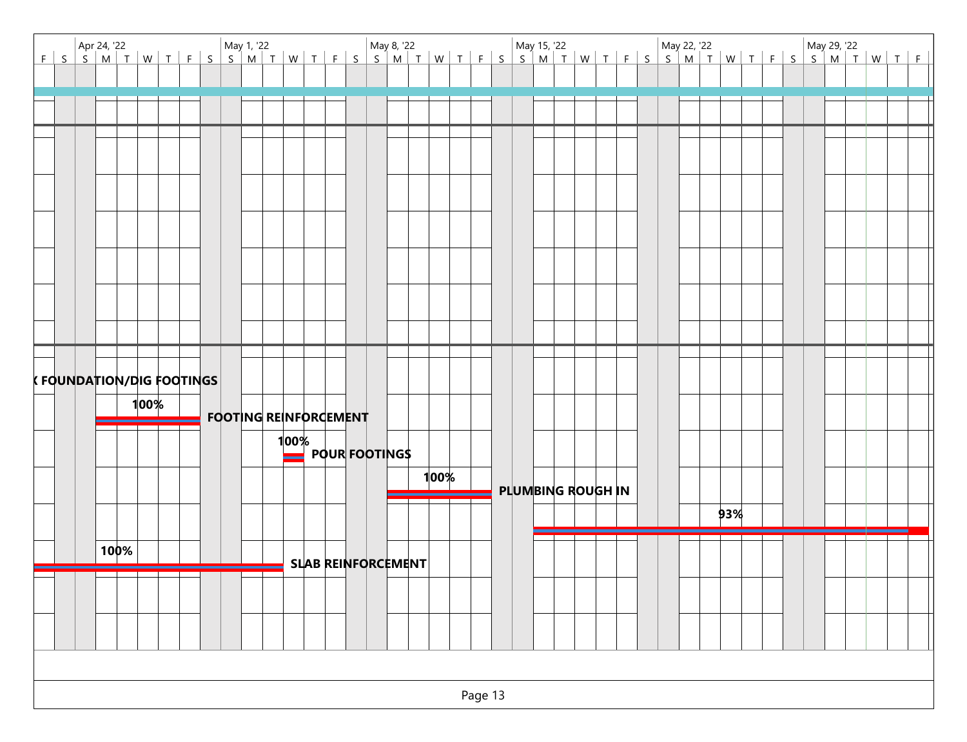|                           |      |                                  |  |  |                              |      |  |  |                           |      |  |  | Apr 24, '22 May 29, '22 May 1, '22 May 29, '22 May 22, '22 May 22, '22 May 29, '22 May 29, '22 May 29, '22 May 29, '22<br>FSSMTWTFSSMTWTFFSSMTWTFFSSMTWTFFSSMTWTFFSSMTWTFFSSMTWTFFSSMTWTFF |  |  |  |     |  |  |  |
|---------------------------|------|----------------------------------|--|--|------------------------------|------|--|--|---------------------------|------|--|--|--------------------------------------------------------------------------------------------------------------------------------------------------------------------------------------------|--|--|--|-----|--|--|--|
|                           |      |                                  |  |  |                              |      |  |  |                           |      |  |  |                                                                                                                                                                                            |  |  |  |     |  |  |  |
|                           |      |                                  |  |  |                              |      |  |  |                           |      |  |  |                                                                                                                                                                                            |  |  |  |     |  |  |  |
|                           |      |                                  |  |  |                              |      |  |  |                           |      |  |  |                                                                                                                                                                                            |  |  |  |     |  |  |  |
|                           |      |                                  |  |  |                              |      |  |  |                           |      |  |  |                                                                                                                                                                                            |  |  |  |     |  |  |  |
|                           |      |                                  |  |  |                              |      |  |  |                           |      |  |  |                                                                                                                                                                                            |  |  |  |     |  |  |  |
|                           |      |                                  |  |  |                              |      |  |  |                           |      |  |  |                                                                                                                                                                                            |  |  |  |     |  |  |  |
|                           |      |                                  |  |  |                              |      |  |  |                           |      |  |  |                                                                                                                                                                                            |  |  |  |     |  |  |  |
|                           |      |                                  |  |  |                              |      |  |  |                           |      |  |  |                                                                                                                                                                                            |  |  |  |     |  |  |  |
|                           |      |                                  |  |  |                              |      |  |  |                           |      |  |  |                                                                                                                                                                                            |  |  |  |     |  |  |  |
|                           |      |                                  |  |  |                              |      |  |  |                           |      |  |  |                                                                                                                                                                                            |  |  |  |     |  |  |  |
|                           |      |                                  |  |  |                              |      |  |  |                           |      |  |  |                                                                                                                                                                                            |  |  |  |     |  |  |  |
|                           |      |                                  |  |  |                              |      |  |  |                           |      |  |  |                                                                                                                                                                                            |  |  |  |     |  |  |  |
|                           |      |                                  |  |  |                              |      |  |  |                           |      |  |  |                                                                                                                                                                                            |  |  |  |     |  |  |  |
|                           |      |                                  |  |  |                              |      |  |  |                           |      |  |  |                                                                                                                                                                                            |  |  |  |     |  |  |  |
| K FOUNDATION/DIG FOOTINGS |      |                                  |  |  |                              |      |  |  |                           |      |  |  |                                                                                                                                                                                            |  |  |  |     |  |  |  |
|                           |      | 100%<br>$\overline{\phantom{a}}$ |  |  | <b>FOOTING REINFORGEMENT</b> |      |  |  |                           |      |  |  |                                                                                                                                                                                            |  |  |  |     |  |  |  |
|                           | ┯    |                                  |  |  |                              | 100% |  |  |                           |      |  |  |                                                                                                                                                                                            |  |  |  |     |  |  |  |
|                           |      |                                  |  |  |                              |      |  |  | <b>POUR FOOTINGS</b>      |      |  |  |                                                                                                                                                                                            |  |  |  |     |  |  |  |
|                           |      |                                  |  |  |                              |      |  |  |                           | 100% |  |  | <b>PLUMBING ROUGH IN</b>                                                                                                                                                                   |  |  |  |     |  |  |  |
|                           |      |                                  |  |  |                              |      |  |  |                           |      |  |  |                                                                                                                                                                                            |  |  |  | 93% |  |  |  |
|                           |      |                                  |  |  |                              |      |  |  |                           |      |  |  |                                                                                                                                                                                            |  |  |  |     |  |  |  |
|                           | 100% |                                  |  |  |                              |      |  |  | <b>SLAB REINFORCEMENT</b> |      |  |  |                                                                                                                                                                                            |  |  |  |     |  |  |  |
|                           |      |                                  |  |  |                              |      |  |  |                           |      |  |  |                                                                                                                                                                                            |  |  |  |     |  |  |  |
|                           |      |                                  |  |  |                              |      |  |  |                           |      |  |  |                                                                                                                                                                                            |  |  |  |     |  |  |  |
|                           |      |                                  |  |  |                              |      |  |  |                           |      |  |  |                                                                                                                                                                                            |  |  |  |     |  |  |  |
|                           |      |                                  |  |  |                              |      |  |  |                           |      |  |  |                                                                                                                                                                                            |  |  |  |     |  |  |  |
|                           |      |                                  |  |  |                              |      |  |  |                           |      |  |  |                                                                                                                                                                                            |  |  |  |     |  |  |  |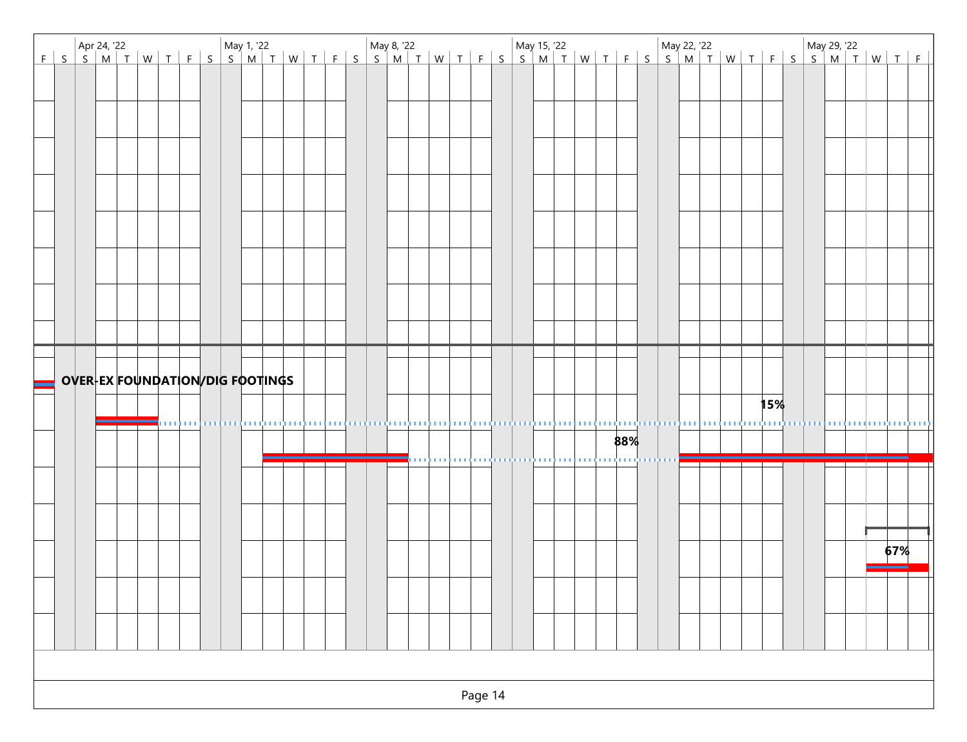| Apr 24, '22 May 2, '22 May 1, '22 May 1, '22 May 2, '22 May 22, '22 May 29, '22 May 29, '22 May 29, '22<br>FSMTWTFSSMTWTFSSMTWTFSSMTWTFSSMTWTFSSMTWTFSSMTWTFSSMTWTF |  |  |  |  |  |  |            |            |          |       |   |         |  |                                                                                    |  |     |  |  |  |     |  |  |
|---------------------------------------------------------------------------------------------------------------------------------------------------------------------|--|--|--|--|--|--|------------|------------|----------|-------|---|---------|--|------------------------------------------------------------------------------------|--|-----|--|--|--|-----|--|--|
|                                                                                                                                                                     |  |  |  |  |  |  |            |            |          |       |   |         |  |                                                                                    |  |     |  |  |  |     |  |  |
|                                                                                                                                                                     |  |  |  |  |  |  |            |            |          |       |   |         |  |                                                                                    |  |     |  |  |  |     |  |  |
|                                                                                                                                                                     |  |  |  |  |  |  |            |            |          |       |   |         |  |                                                                                    |  |     |  |  |  |     |  |  |
|                                                                                                                                                                     |  |  |  |  |  |  |            |            |          |       |   |         |  |                                                                                    |  |     |  |  |  |     |  |  |
|                                                                                                                                                                     |  |  |  |  |  |  |            |            |          |       |   |         |  |                                                                                    |  |     |  |  |  |     |  |  |
|                                                                                                                                                                     |  |  |  |  |  |  |            |            |          |       |   |         |  |                                                                                    |  |     |  |  |  |     |  |  |
|                                                                                                                                                                     |  |  |  |  |  |  |            |            |          |       |   |         |  |                                                                                    |  |     |  |  |  |     |  |  |
|                                                                                                                                                                     |  |  |  |  |  |  |            |            |          |       |   |         |  |                                                                                    |  |     |  |  |  |     |  |  |
|                                                                                                                                                                     |  |  |  |  |  |  |            |            |          |       |   |         |  |                                                                                    |  |     |  |  |  |     |  |  |
|                                                                                                                                                                     |  |  |  |  |  |  |            |            |          |       |   |         |  |                                                                                    |  |     |  |  |  |     |  |  |
|                                                                                                                                                                     |  |  |  |  |  |  |            |            |          |       |   |         |  |                                                                                    |  |     |  |  |  |     |  |  |
|                                                                                                                                                                     |  |  |  |  |  |  |            |            |          |       |   |         |  |                                                                                    |  |     |  |  |  |     |  |  |
|                                                                                                                                                                     |  |  |  |  |  |  |            |            |          |       |   |         |  |                                                                                    |  |     |  |  |  |     |  |  |
|                                                                                                                                                                     |  |  |  |  |  |  |            |            |          |       |   |         |  |                                                                                    |  |     |  |  |  |     |  |  |
|                                                                                                                                                                     |  |  |  |  |  |  |            |            |          |       |   |         |  |                                                                                    |  |     |  |  |  |     |  |  |
|                                                                                                                                                                     |  |  |  |  |  |  |            |            |          |       |   |         |  |                                                                                    |  |     |  |  |  |     |  |  |
|                                                                                                                                                                     |  |  |  |  |  |  |            |            |          |       |   |         |  |                                                                                    |  |     |  |  |  |     |  |  |
|                                                                                                                                                                     |  |  |  |  |  |  |            |            |          |       |   |         |  |                                                                                    |  |     |  |  |  |     |  |  |
|                                                                                                                                                                     |  |  |  |  |  |  |            |            |          |       |   |         |  |                                                                                    |  |     |  |  |  |     |  |  |
|                                                                                                                                                                     |  |  |  |  |  |  |            |            |          |       |   |         |  |                                                                                    |  |     |  |  |  | 15% |  |  |
|                                                                                                                                                                     |  |  |  |  |  |  | <b>COL</b> | <b>COL</b> | 11111111 | 11111 | . |         |  | undurmanın birinin dündürdürmen ol                                                 |  |     |  |  |  |     |  |  |
|                                                                                                                                                                     |  |  |  |  |  |  |            |            |          |       |   |         |  |                                                                                    |  | 88% |  |  |  |     |  |  |
|                                                                                                                                                                     |  |  |  |  |  |  |            |            |          |       |   |         |  | ko en de en en en en en de en de en de en en en en en en en en de en de en de en d |  |     |  |  |  |     |  |  |
|                                                                                                                                                                     |  |  |  |  |  |  |            |            |          |       |   |         |  |                                                                                    |  |     |  |  |  |     |  |  |
|                                                                                                                                                                     |  |  |  |  |  |  |            |            |          |       |   |         |  |                                                                                    |  |     |  |  |  |     |  |  |
|                                                                                                                                                                     |  |  |  |  |  |  |            |            |          |       |   |         |  |                                                                                    |  |     |  |  |  |     |  |  |
|                                                                                                                                                                     |  |  |  |  |  |  |            |            |          |       |   |         |  |                                                                                    |  |     |  |  |  |     |  |  |
|                                                                                                                                                                     |  |  |  |  |  |  |            |            |          |       |   |         |  |                                                                                    |  |     |  |  |  |     |  |  |
|                                                                                                                                                                     |  |  |  |  |  |  |            |            |          |       |   |         |  |                                                                                    |  |     |  |  |  |     |  |  |
|                                                                                                                                                                     |  |  |  |  |  |  |            |            |          |       |   |         |  |                                                                                    |  |     |  |  |  |     |  |  |
|                                                                                                                                                                     |  |  |  |  |  |  |            |            |          |       |   |         |  |                                                                                    |  |     |  |  |  |     |  |  |
|                                                                                                                                                                     |  |  |  |  |  |  |            |            |          |       |   |         |  |                                                                                    |  |     |  |  |  |     |  |  |
|                                                                                                                                                                     |  |  |  |  |  |  |            |            |          |       |   |         |  |                                                                                    |  |     |  |  |  |     |  |  |
|                                                                                                                                                                     |  |  |  |  |  |  |            |            |          |       |   |         |  |                                                                                    |  |     |  |  |  |     |  |  |
|                                                                                                                                                                     |  |  |  |  |  |  |            |            |          |       |   |         |  |                                                                                    |  |     |  |  |  |     |  |  |
|                                                                                                                                                                     |  |  |  |  |  |  |            |            |          |       |   |         |  |                                                                                    |  |     |  |  |  |     |  |  |
|                                                                                                                                                                     |  |  |  |  |  |  |            |            |          |       |   |         |  |                                                                                    |  |     |  |  |  |     |  |  |
|                                                                                                                                                                     |  |  |  |  |  |  |            |            |          |       |   | Page 14 |  |                                                                                    |  |     |  |  |  |     |  |  |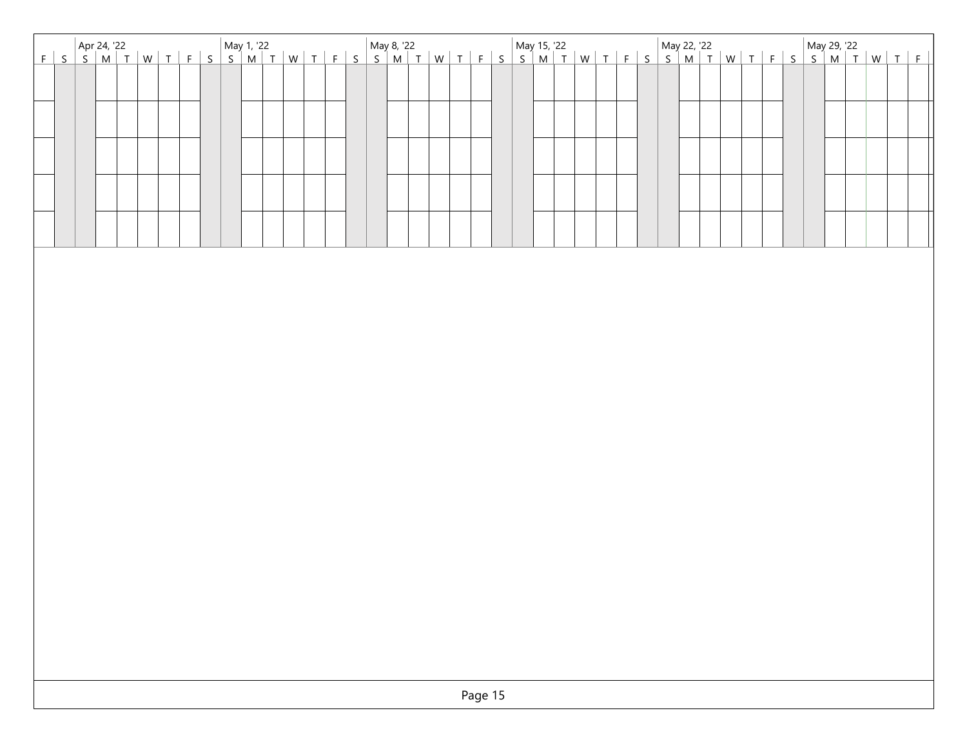| Apr 24, '22 May 29, '22 May 1, '22 May 29, '22 May 22, '22 May 22, '22 May 29, '22 May 29, '22<br>F S S M T W T F S S M T W T F S S M T W T F S S M T W T F S S M T W T F S S M T W T F S S M T W T F S |
|---------------------------------------------------------------------------------------------------------------------------------------------------------------------------------------------------------|
|                                                                                                                                                                                                         |
|                                                                                                                                                                                                         |
|                                                                                                                                                                                                         |
|                                                                                                                                                                                                         |
|                                                                                                                                                                                                         |
|                                                                                                                                                                                                         |
|                                                                                                                                                                                                         |
|                                                                                                                                                                                                         |
|                                                                                                                                                                                                         |
|                                                                                                                                                                                                         |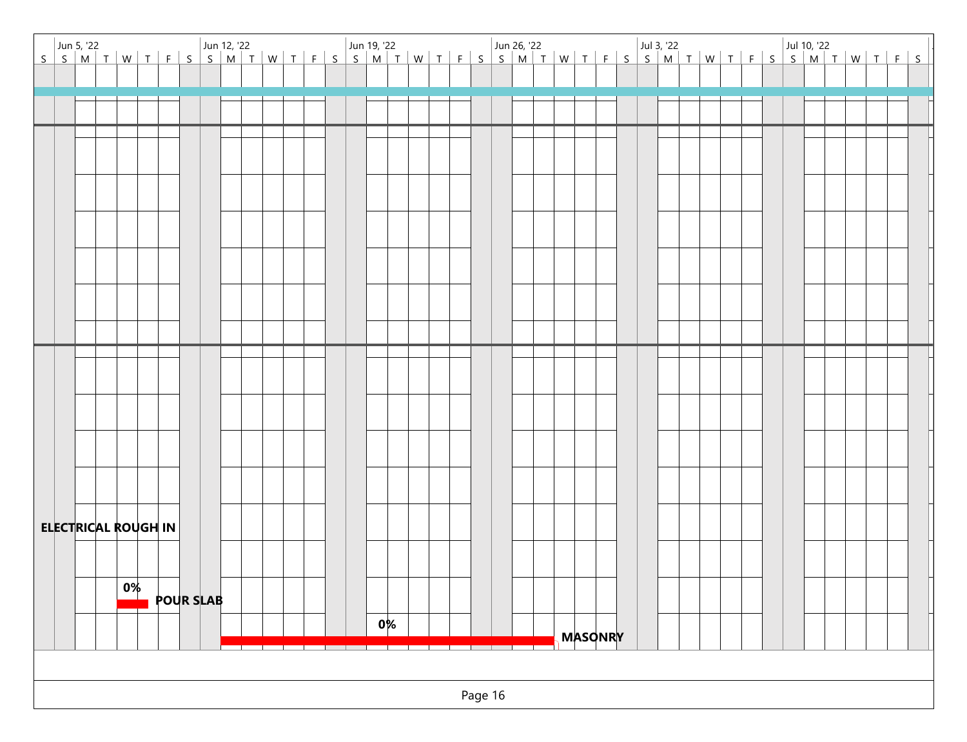|  |                            |    |                  |  |  |  |  |  |  |       |  |  |  |  |  |                |  |  |  |  |  | Jun 5, '22   Jun 5, '22   Jun 12, '22   Jun 12, '22   Jun 19, '22   Jun 19, '22   Jun 26, '22   Jun 26, '22   Jun 26, '22   Jun 26, '22   Jun 26, '22   Jun 26, '22   Jun 26, '22   Jun 26, '22   Jun 26, '22   Jun 26, '22 |  |  |
|--|----------------------------|----|------------------|--|--|--|--|--|--|-------|--|--|--|--|--|----------------|--|--|--|--|--|-----------------------------------------------------------------------------------------------------------------------------------------------------------------------------------------------------------------------------|--|--|
|  |                            |    |                  |  |  |  |  |  |  |       |  |  |  |  |  |                |  |  |  |  |  |                                                                                                                                                                                                                             |  |  |
|  |                            |    |                  |  |  |  |  |  |  |       |  |  |  |  |  |                |  |  |  |  |  |                                                                                                                                                                                                                             |  |  |
|  |                            |    |                  |  |  |  |  |  |  |       |  |  |  |  |  |                |  |  |  |  |  |                                                                                                                                                                                                                             |  |  |
|  |                            |    |                  |  |  |  |  |  |  |       |  |  |  |  |  |                |  |  |  |  |  |                                                                                                                                                                                                                             |  |  |
|  |                            |    |                  |  |  |  |  |  |  |       |  |  |  |  |  |                |  |  |  |  |  |                                                                                                                                                                                                                             |  |  |
|  |                            |    |                  |  |  |  |  |  |  |       |  |  |  |  |  |                |  |  |  |  |  |                                                                                                                                                                                                                             |  |  |
|  |                            |    |                  |  |  |  |  |  |  |       |  |  |  |  |  |                |  |  |  |  |  |                                                                                                                                                                                                                             |  |  |
|  |                            |    |                  |  |  |  |  |  |  |       |  |  |  |  |  |                |  |  |  |  |  |                                                                                                                                                                                                                             |  |  |
|  |                            |    |                  |  |  |  |  |  |  |       |  |  |  |  |  |                |  |  |  |  |  |                                                                                                                                                                                                                             |  |  |
|  |                            |    |                  |  |  |  |  |  |  |       |  |  |  |  |  |                |  |  |  |  |  |                                                                                                                                                                                                                             |  |  |
|  |                            |    |                  |  |  |  |  |  |  |       |  |  |  |  |  |                |  |  |  |  |  |                                                                                                                                                                                                                             |  |  |
|  |                            |    |                  |  |  |  |  |  |  |       |  |  |  |  |  |                |  |  |  |  |  |                                                                                                                                                                                                                             |  |  |
|  |                            |    |                  |  |  |  |  |  |  |       |  |  |  |  |  |                |  |  |  |  |  |                                                                                                                                                                                                                             |  |  |
|  |                            |    |                  |  |  |  |  |  |  |       |  |  |  |  |  |                |  |  |  |  |  |                                                                                                                                                                                                                             |  |  |
|  |                            |    |                  |  |  |  |  |  |  |       |  |  |  |  |  |                |  |  |  |  |  |                                                                                                                                                                                                                             |  |  |
|  |                            |    |                  |  |  |  |  |  |  |       |  |  |  |  |  |                |  |  |  |  |  |                                                                                                                                                                                                                             |  |  |
|  |                            |    |                  |  |  |  |  |  |  |       |  |  |  |  |  |                |  |  |  |  |  |                                                                                                                                                                                                                             |  |  |
|  |                            |    |                  |  |  |  |  |  |  |       |  |  |  |  |  |                |  |  |  |  |  |                                                                                                                                                                                                                             |  |  |
|  |                            |    |                  |  |  |  |  |  |  |       |  |  |  |  |  |                |  |  |  |  |  |                                                                                                                                                                                                                             |  |  |
|  | <b>ELECTRICAL ROUGH IN</b> |    |                  |  |  |  |  |  |  |       |  |  |  |  |  |                |  |  |  |  |  |                                                                                                                                                                                                                             |  |  |
|  |                            |    |                  |  |  |  |  |  |  |       |  |  |  |  |  |                |  |  |  |  |  |                                                                                                                                                                                                                             |  |  |
|  |                            |    |                  |  |  |  |  |  |  |       |  |  |  |  |  |                |  |  |  |  |  |                                                                                                                                                                                                                             |  |  |
|  |                            | 0% |                  |  |  |  |  |  |  |       |  |  |  |  |  |                |  |  |  |  |  |                                                                                                                                                                                                                             |  |  |
|  |                            |    | <b>POUR SLAB</b> |  |  |  |  |  |  |       |  |  |  |  |  |                |  |  |  |  |  |                                                                                                                                                                                                                             |  |  |
|  |                            |    |                  |  |  |  |  |  |  | $0\%$ |  |  |  |  |  | <b>MASONRY</b> |  |  |  |  |  |                                                                                                                                                                                                                             |  |  |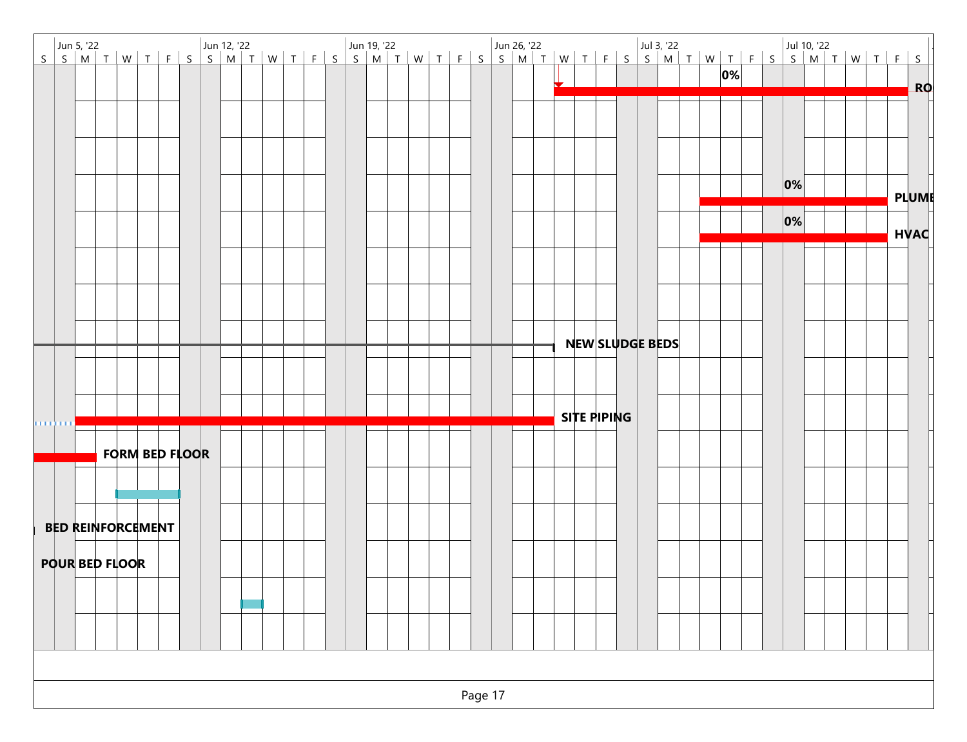|                       |  |  |                          |                       |  |  |  |  |  |  |  |         |  |  |                        |  |  | 0% |  |         |  |  |              |           |
|-----------------------|--|--|--------------------------|-----------------------|--|--|--|--|--|--|--|---------|--|--|------------------------|--|--|----|--|---------|--|--|--------------|-----------|
|                       |  |  |                          |                       |  |  |  |  |  |  |  |         |  |  |                        |  |  |    |  |         |  |  |              | <b>RO</b> |
|                       |  |  |                          |                       |  |  |  |  |  |  |  |         |  |  |                        |  |  |    |  |         |  |  |              |           |
|                       |  |  |                          |                       |  |  |  |  |  |  |  |         |  |  |                        |  |  |    |  |         |  |  |              |           |
|                       |  |  |                          |                       |  |  |  |  |  |  |  |         |  |  |                        |  |  |    |  |         |  |  |              |           |
|                       |  |  |                          |                       |  |  |  |  |  |  |  |         |  |  |                        |  |  |    |  |         |  |  |              |           |
|                       |  |  |                          |                       |  |  |  |  |  |  |  |         |  |  |                        |  |  |    |  | $ 0\% $ |  |  |              |           |
|                       |  |  |                          |                       |  |  |  |  |  |  |  |         |  |  |                        |  |  |    |  |         |  |  | <b>PLUME</b> |           |
|                       |  |  |                          |                       |  |  |  |  |  |  |  |         |  |  |                        |  |  |    |  | $ 0\% $ |  |  |              |           |
|                       |  |  |                          |                       |  |  |  |  |  |  |  |         |  |  |                        |  |  |    |  |         |  |  | <b>HVAC</b>  |           |
|                       |  |  |                          |                       |  |  |  |  |  |  |  |         |  |  |                        |  |  |    |  |         |  |  |              |           |
|                       |  |  |                          |                       |  |  |  |  |  |  |  |         |  |  |                        |  |  |    |  |         |  |  |              |           |
|                       |  |  |                          |                       |  |  |  |  |  |  |  |         |  |  |                        |  |  |    |  |         |  |  |              |           |
|                       |  |  |                          |                       |  |  |  |  |  |  |  |         |  |  |                        |  |  |    |  |         |  |  |              |           |
|                       |  |  |                          |                       |  |  |  |  |  |  |  |         |  |  |                        |  |  |    |  |         |  |  |              |           |
|                       |  |  |                          |                       |  |  |  |  |  |  |  |         |  |  | <b>NEW SLUDGE BEDS</b> |  |  |    |  |         |  |  |              |           |
|                       |  |  |                          |                       |  |  |  |  |  |  |  |         |  |  |                        |  |  |    |  |         |  |  |              |           |
|                       |  |  |                          |                       |  |  |  |  |  |  |  |         |  |  |                        |  |  |    |  |         |  |  |              |           |
|                       |  |  |                          |                       |  |  |  |  |  |  |  |         |  |  | SITE PIPING            |  |  |    |  |         |  |  |              |           |
| о на боло             |  |  |                          |                       |  |  |  |  |  |  |  |         |  |  |                        |  |  |    |  |         |  |  |              |           |
|                       |  |  |                          | <b>FORM BED FLOOR</b> |  |  |  |  |  |  |  |         |  |  |                        |  |  |    |  |         |  |  |              |           |
|                       |  |  |                          |                       |  |  |  |  |  |  |  |         |  |  |                        |  |  |    |  |         |  |  |              |           |
|                       |  |  |                          |                       |  |  |  |  |  |  |  |         |  |  |                        |  |  |    |  |         |  |  |              |           |
|                       |  |  |                          |                       |  |  |  |  |  |  |  |         |  |  |                        |  |  |    |  |         |  |  |              |           |
|                       |  |  | <b>BED REINFORCEMENT</b> |                       |  |  |  |  |  |  |  |         |  |  |                        |  |  |    |  |         |  |  |              |           |
|                       |  |  |                          |                       |  |  |  |  |  |  |  |         |  |  |                        |  |  |    |  |         |  |  |              |           |
| <b>POUR BED FLOOR</b> |  |  |                          |                       |  |  |  |  |  |  |  |         |  |  |                        |  |  |    |  |         |  |  |              |           |
|                       |  |  |                          |                       |  |  |  |  |  |  |  |         |  |  |                        |  |  |    |  |         |  |  |              |           |
|                       |  |  |                          |                       |  |  |  |  |  |  |  |         |  |  |                        |  |  |    |  |         |  |  |              |           |
|                       |  |  |                          |                       |  |  |  |  |  |  |  |         |  |  |                        |  |  |    |  |         |  |  |              |           |
|                       |  |  |                          |                       |  |  |  |  |  |  |  |         |  |  |                        |  |  |    |  |         |  |  |              |           |
|                       |  |  |                          |                       |  |  |  |  |  |  |  |         |  |  |                        |  |  |    |  |         |  |  |              |           |
|                       |  |  |                          |                       |  |  |  |  |  |  |  |         |  |  |                        |  |  |    |  |         |  |  |              |           |
|                       |  |  |                          |                       |  |  |  |  |  |  |  | Page 17 |  |  |                        |  |  |    |  |         |  |  |              |           |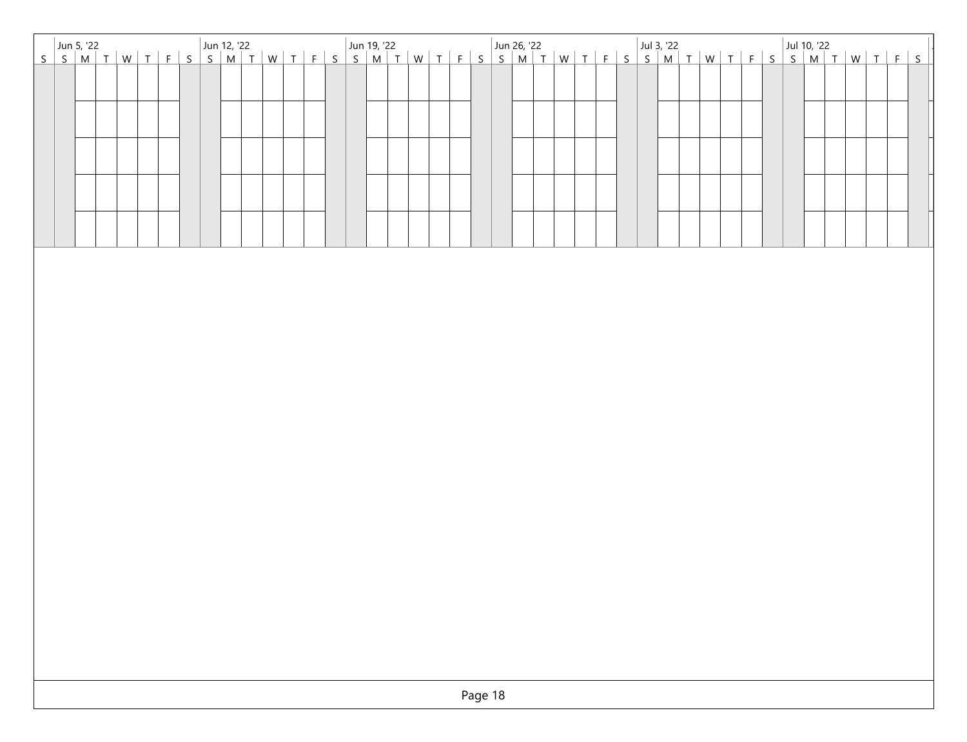| Jun 5, '22<br>S S M T   W   T   F   S   S   M   T   W   T   F   S   S   M   T   W   T   F   S   S   M   T   W   T   F   S  <br>S   S   M   T   W   T   F   S   S   M   T   W   T   F   S   S   M   T   W   T   F   S   S   M   T |
|----------------------------------------------------------------------------------------------------------------------------------------------------------------------------------------------------------------------------------|
|                                                                                                                                                                                                                                  |
|                                                                                                                                                                                                                                  |
|                                                                                                                                                                                                                                  |
|                                                                                                                                                                                                                                  |
|                                                                                                                                                                                                                                  |
|                                                                                                                                                                                                                                  |
|                                                                                                                                                                                                                                  |
|                                                                                                                                                                                                                                  |
|                                                                                                                                                                                                                                  |
|                                                                                                                                                                                                                                  |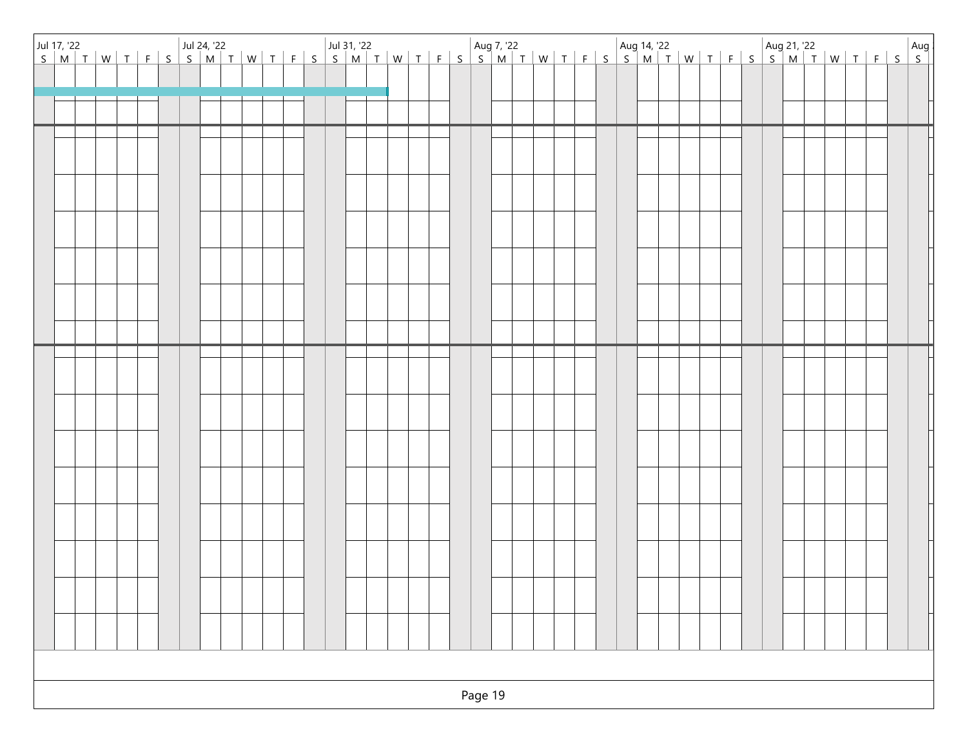|  |  |  |  |  |  |  |  |  |  |  | Page 19 |  |  |  |  |  |  |  |  |  |  |  |
|--|--|--|--|--|--|--|--|--|--|--|---------|--|--|--|--|--|--|--|--|--|--|--|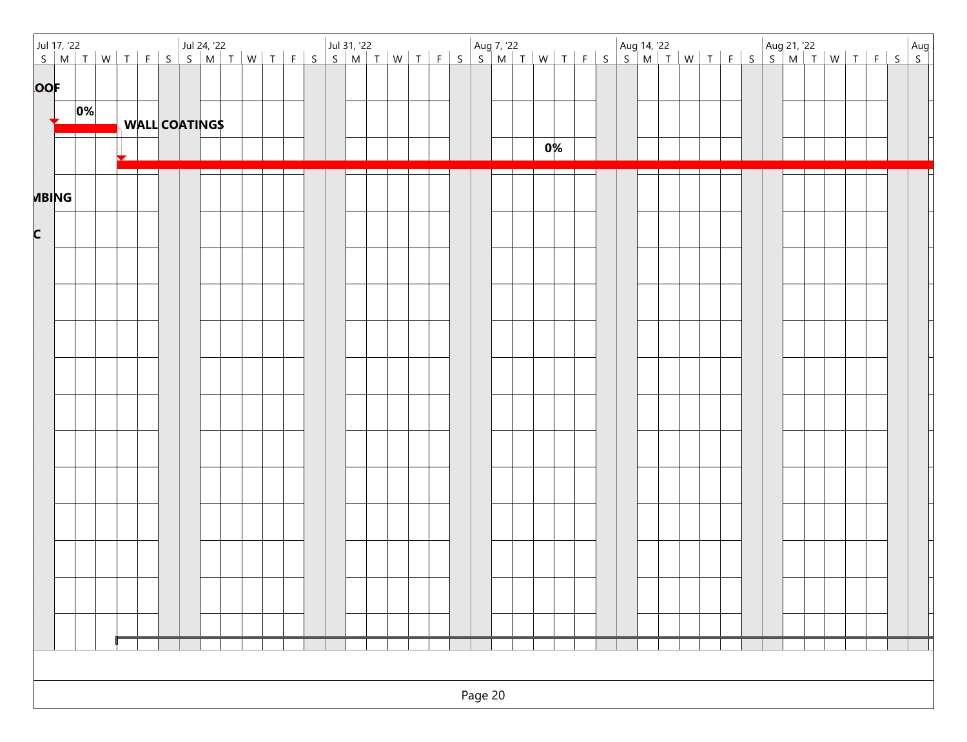|            |              |         | Jul 17, '22<br>  S   M   T   W   T   F   S   S   M   T   W   T   F   S   S   M   T   W   T   F   S   S   M   T   W   T   F   S   S   M   T   W   T   F   S   S   M   T   W   T   F   S   S   M   T   W   T   F   S   S   M   T |  |  |  |  |  |  |  |  |  |  |  |    |  |  |  |  |  |  |  |  |  |
|------------|--------------|---------|--------------------------------------------------------------------------------------------------------------------------------------------------------------------------------------------------------------------------------|--|--|--|--|--|--|--|--|--|--|--|----|--|--|--|--|--|--|--|--|--|
|            |              |         |                                                                                                                                                                                                                                |  |  |  |  |  |  |  |  |  |  |  |    |  |  |  |  |  |  |  |  |  |
| <b>OOF</b> |              |         |                                                                                                                                                                                                                                |  |  |  |  |  |  |  |  |  |  |  |    |  |  |  |  |  |  |  |  |  |
|            |              | $ 0\% $ |                                                                                                                                                                                                                                |  |  |  |  |  |  |  |  |  |  |  |    |  |  |  |  |  |  |  |  |  |
|            |              |         | <b>WALL COATINGS</b>                                                                                                                                                                                                           |  |  |  |  |  |  |  |  |  |  |  |    |  |  |  |  |  |  |  |  |  |
|            |              |         |                                                                                                                                                                                                                                |  |  |  |  |  |  |  |  |  |  |  | 0% |  |  |  |  |  |  |  |  |  |
|            |              |         |                                                                                                                                                                                                                                |  |  |  |  |  |  |  |  |  |  |  |    |  |  |  |  |  |  |  |  |  |
|            | <b>MBING</b> |         |                                                                                                                                                                                                                                |  |  |  |  |  |  |  |  |  |  |  |    |  |  |  |  |  |  |  |  |  |
|            |              |         |                                                                                                                                                                                                                                |  |  |  |  |  |  |  |  |  |  |  |    |  |  |  |  |  |  |  |  |  |
| C          |              |         |                                                                                                                                                                                                                                |  |  |  |  |  |  |  |  |  |  |  |    |  |  |  |  |  |  |  |  |  |
|            |              |         |                                                                                                                                                                                                                                |  |  |  |  |  |  |  |  |  |  |  |    |  |  |  |  |  |  |  |  |  |
|            |              |         |                                                                                                                                                                                                                                |  |  |  |  |  |  |  |  |  |  |  |    |  |  |  |  |  |  |  |  |  |
|            |              |         |                                                                                                                                                                                                                                |  |  |  |  |  |  |  |  |  |  |  |    |  |  |  |  |  |  |  |  |  |
|            |              |         |                                                                                                                                                                                                                                |  |  |  |  |  |  |  |  |  |  |  |    |  |  |  |  |  |  |  |  |  |
|            |              |         |                                                                                                                                                                                                                                |  |  |  |  |  |  |  |  |  |  |  |    |  |  |  |  |  |  |  |  |  |
|            |              |         |                                                                                                                                                                                                                                |  |  |  |  |  |  |  |  |  |  |  |    |  |  |  |  |  |  |  |  |  |
|            |              |         |                                                                                                                                                                                                                                |  |  |  |  |  |  |  |  |  |  |  |    |  |  |  |  |  |  |  |  |  |
|            |              |         |                                                                                                                                                                                                                                |  |  |  |  |  |  |  |  |  |  |  |    |  |  |  |  |  |  |  |  |  |
|            |              |         |                                                                                                                                                                                                                                |  |  |  |  |  |  |  |  |  |  |  |    |  |  |  |  |  |  |  |  |  |
|            |              |         |                                                                                                                                                                                                                                |  |  |  |  |  |  |  |  |  |  |  |    |  |  |  |  |  |  |  |  |  |
|            |              |         |                                                                                                                                                                                                                                |  |  |  |  |  |  |  |  |  |  |  |    |  |  |  |  |  |  |  |  |  |
|            |              |         |                                                                                                                                                                                                                                |  |  |  |  |  |  |  |  |  |  |  |    |  |  |  |  |  |  |  |  |  |
|            |              |         |                                                                                                                                                                                                                                |  |  |  |  |  |  |  |  |  |  |  |    |  |  |  |  |  |  |  |  |  |
|            |              |         |                                                                                                                                                                                                                                |  |  |  |  |  |  |  |  |  |  |  |    |  |  |  |  |  |  |  |  |  |
|            |              |         |                                                                                                                                                                                                                                |  |  |  |  |  |  |  |  |  |  |  |    |  |  |  |  |  |  |  |  |  |
|            |              |         |                                                                                                                                                                                                                                |  |  |  |  |  |  |  |  |  |  |  |    |  |  |  |  |  |  |  |  |  |
|            |              |         |                                                                                                                                                                                                                                |  |  |  |  |  |  |  |  |  |  |  |    |  |  |  |  |  |  |  |  |  |
|            |              |         |                                                                                                                                                                                                                                |  |  |  |  |  |  |  |  |  |  |  |    |  |  |  |  |  |  |  |  |  |
|            |              |         |                                                                                                                                                                                                                                |  |  |  |  |  |  |  |  |  |  |  |    |  |  |  |  |  |  |  |  |  |
|            |              |         |                                                                                                                                                                                                                                |  |  |  |  |  |  |  |  |  |  |  |    |  |  |  |  |  |  |  |  |  |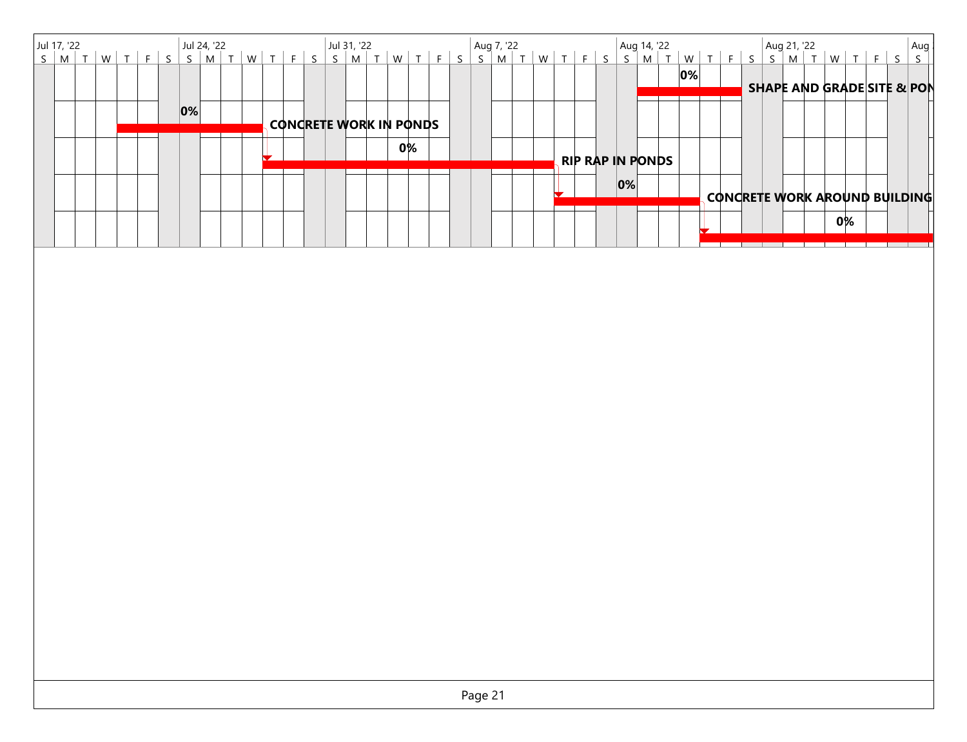|  |  |  |    |  |  |  |  |  |  |                        |  |  |         |  |  |  |                         |  |    |  |  |  |    |  | Aug<br>S                              |
|--|--|--|----|--|--|--|--|--|--|------------------------|--|--|---------|--|--|--|-------------------------|--|----|--|--|--|----|--|---------------------------------------|
|  |  |  |    |  |  |  |  |  |  |                        |  |  |         |  |  |  |                         |  | 0% |  |  |  |    |  | <b>SHAPE AND GRADE SITE &amp; PON</b> |
|  |  |  | 0% |  |  |  |  |  |  | CONCRETE WORK IN PONDS |  |  |         |  |  |  |                         |  |    |  |  |  |    |  |                                       |
|  |  |  |    |  |  |  |  |  |  | 0%                     |  |  |         |  |  |  |                         |  |    |  |  |  |    |  |                                       |
|  |  |  |    |  |  |  |  |  |  |                        |  |  |         |  |  |  | <b>RIP RAP IN PONDS</b> |  |    |  |  |  |    |  |                                       |
|  |  |  |    |  |  |  |  |  |  |                        |  |  |         |  |  |  | $ 0\% $                 |  |    |  |  |  |    |  | CONCRETE WORK AROUND BUILDING         |
|  |  |  |    |  |  |  |  |  |  |                        |  |  |         |  |  |  |                         |  |    |  |  |  | 0% |  |                                       |
|  |  |  |    |  |  |  |  |  |  |                        |  |  |         |  |  |  |                         |  |    |  |  |  |    |  |                                       |
|  |  |  |    |  |  |  |  |  |  |                        |  |  |         |  |  |  |                         |  |    |  |  |  |    |  |                                       |
|  |  |  |    |  |  |  |  |  |  |                        |  |  |         |  |  |  |                         |  |    |  |  |  |    |  |                                       |
|  |  |  |    |  |  |  |  |  |  |                        |  |  |         |  |  |  |                         |  |    |  |  |  |    |  |                                       |
|  |  |  |    |  |  |  |  |  |  |                        |  |  |         |  |  |  |                         |  |    |  |  |  |    |  |                                       |
|  |  |  |    |  |  |  |  |  |  |                        |  |  |         |  |  |  |                         |  |    |  |  |  |    |  |                                       |
|  |  |  |    |  |  |  |  |  |  |                        |  |  |         |  |  |  |                         |  |    |  |  |  |    |  |                                       |
|  |  |  |    |  |  |  |  |  |  |                        |  |  |         |  |  |  |                         |  |    |  |  |  |    |  |                                       |
|  |  |  |    |  |  |  |  |  |  |                        |  |  |         |  |  |  |                         |  |    |  |  |  |    |  |                                       |
|  |  |  |    |  |  |  |  |  |  |                        |  |  |         |  |  |  |                         |  |    |  |  |  |    |  |                                       |
|  |  |  |    |  |  |  |  |  |  |                        |  |  |         |  |  |  |                         |  |    |  |  |  |    |  |                                       |
|  |  |  |    |  |  |  |  |  |  |                        |  |  |         |  |  |  |                         |  |    |  |  |  |    |  |                                       |
|  |  |  |    |  |  |  |  |  |  |                        |  |  |         |  |  |  |                         |  |    |  |  |  |    |  |                                       |
|  |  |  |    |  |  |  |  |  |  |                        |  |  |         |  |  |  |                         |  |    |  |  |  |    |  |                                       |
|  |  |  |    |  |  |  |  |  |  |                        |  |  |         |  |  |  |                         |  |    |  |  |  |    |  |                                       |
|  |  |  |    |  |  |  |  |  |  |                        |  |  | Page 21 |  |  |  |                         |  |    |  |  |  |    |  |                                       |
|  |  |  |    |  |  |  |  |  |  |                        |  |  |         |  |  |  |                         |  |    |  |  |  |    |  |                                       |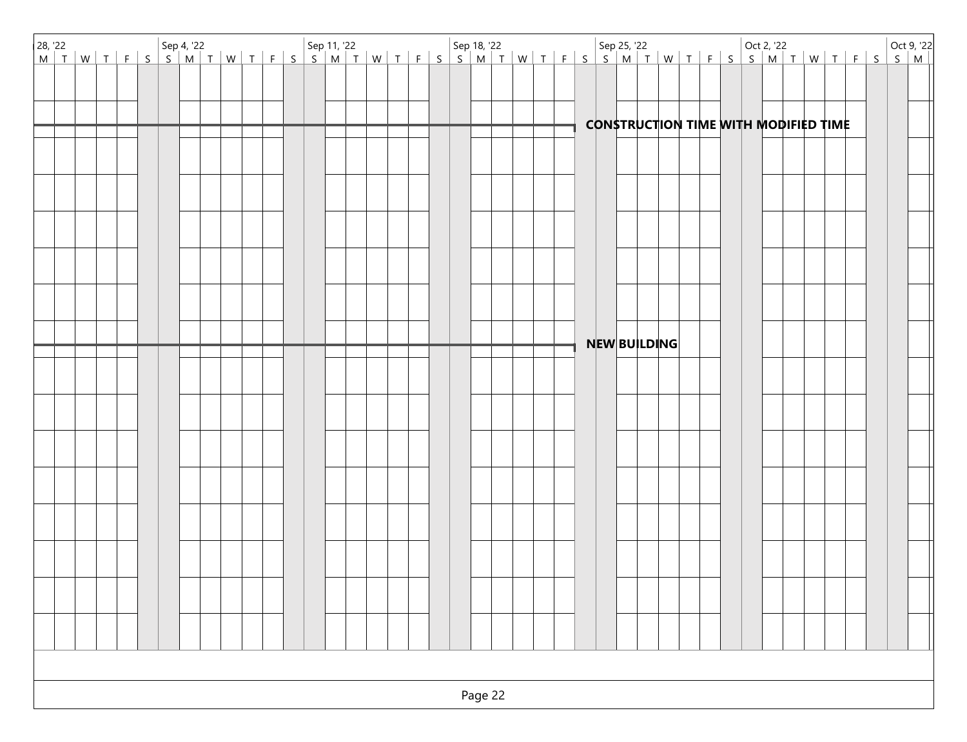|  |  |  |  |  |  |  |  |  |  |         |  |  |  |  | <b>CONSTRUCTION TIME WITH MODIFIED TIME</b> |  |  |  |  |  |  |  |
|--|--|--|--|--|--|--|--|--|--|---------|--|--|--|--|---------------------------------------------|--|--|--|--|--|--|--|
|  |  |  |  |  |  |  |  |  |  |         |  |  |  |  |                                             |  |  |  |  |  |  |  |
|  |  |  |  |  |  |  |  |  |  |         |  |  |  |  |                                             |  |  |  |  |  |  |  |
|  |  |  |  |  |  |  |  |  |  |         |  |  |  |  |                                             |  |  |  |  |  |  |  |
|  |  |  |  |  |  |  |  |  |  |         |  |  |  |  |                                             |  |  |  |  |  |  |  |
|  |  |  |  |  |  |  |  |  |  |         |  |  |  |  |                                             |  |  |  |  |  |  |  |
|  |  |  |  |  |  |  |  |  |  |         |  |  |  |  |                                             |  |  |  |  |  |  |  |
|  |  |  |  |  |  |  |  |  |  |         |  |  |  |  |                                             |  |  |  |  |  |  |  |
|  |  |  |  |  |  |  |  |  |  |         |  |  |  |  | NEW BUILDING                                |  |  |  |  |  |  |  |
|  |  |  |  |  |  |  |  |  |  |         |  |  |  |  |                                             |  |  |  |  |  |  |  |
|  |  |  |  |  |  |  |  |  |  |         |  |  |  |  |                                             |  |  |  |  |  |  |  |
|  |  |  |  |  |  |  |  |  |  |         |  |  |  |  |                                             |  |  |  |  |  |  |  |
|  |  |  |  |  |  |  |  |  |  |         |  |  |  |  |                                             |  |  |  |  |  |  |  |
|  |  |  |  |  |  |  |  |  |  |         |  |  |  |  |                                             |  |  |  |  |  |  |  |
|  |  |  |  |  |  |  |  |  |  |         |  |  |  |  |                                             |  |  |  |  |  |  |  |
|  |  |  |  |  |  |  |  |  |  |         |  |  |  |  |                                             |  |  |  |  |  |  |  |
|  |  |  |  |  |  |  |  |  |  |         |  |  |  |  |                                             |  |  |  |  |  |  |  |
|  |  |  |  |  |  |  |  |  |  |         |  |  |  |  |                                             |  |  |  |  |  |  |  |
|  |  |  |  |  |  |  |  |  |  |         |  |  |  |  |                                             |  |  |  |  |  |  |  |
|  |  |  |  |  |  |  |  |  |  |         |  |  |  |  |                                             |  |  |  |  |  |  |  |
|  |  |  |  |  |  |  |  |  |  |         |  |  |  |  |                                             |  |  |  |  |  |  |  |
|  |  |  |  |  |  |  |  |  |  |         |  |  |  |  |                                             |  |  |  |  |  |  |  |
|  |  |  |  |  |  |  |  |  |  | Page 22 |  |  |  |  |                                             |  |  |  |  |  |  |  |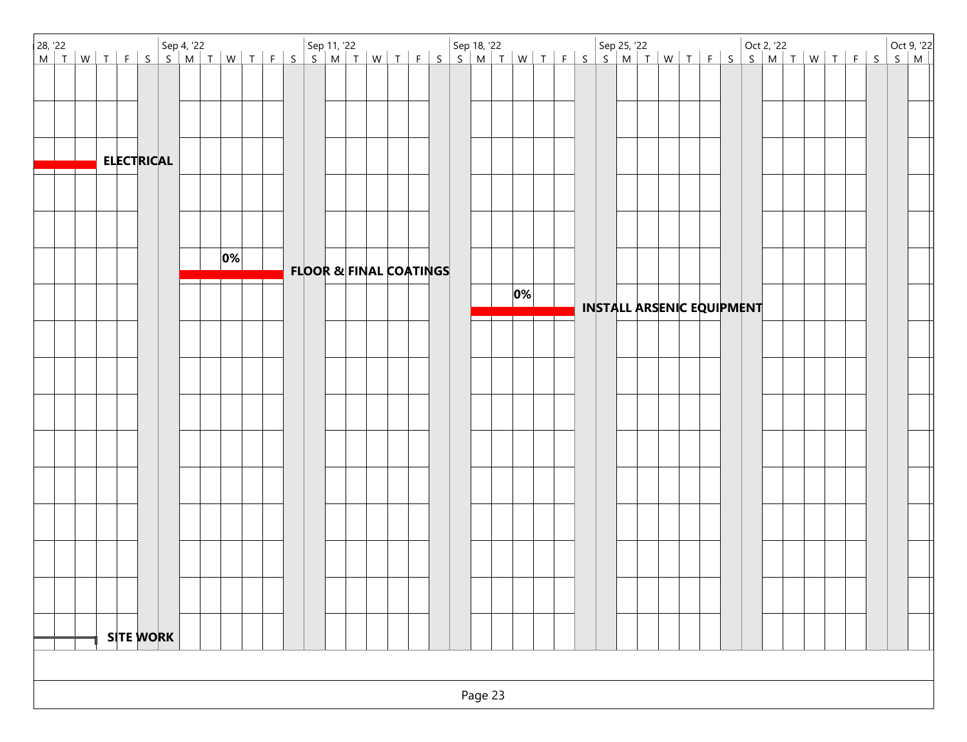